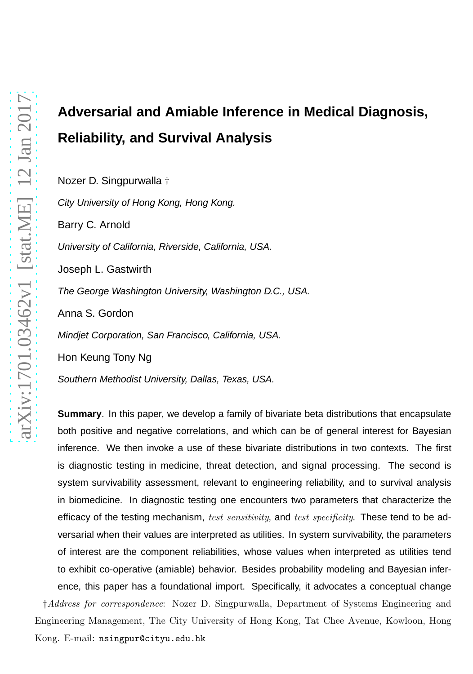# **Adversarial and Amiable Inference in Medical Diagnosis, Reliability, and Survival Analysis**

Nozer D. Singpurwalla †

City University of Hong Kong, Hong Kong. Barry C. Arnold University of California, Riverside, California, USA. Joseph L. Gastwirth The George Washington University, Washington D.C., USA. Anna S. Gordon Mindjet Corporation, San Francisco, California, USA. Hon Keung Tony Ng Southern Methodist University, Dallas, Texas, USA.

**Summary**. In this paper, we develop a family of bivariate beta distributions that encapsulate both positive and negative correlations, and which can be of general interest for Bayesian inference. We then invoke a use of these bivariate distributions in two contexts. The first is diagnostic testing in medicine, threat detection, and signal processing. The second is system survivability assessment, relevant to engineering reliability, and to survival analysis in biomedicine. In diagnostic testing one encounters two parameters that characterize the efficacy of the testing mechanism, *test sensitivity*, and *test specificity*. These tend to be adversarial when their values are interpreted as utilities. In system survivability, the parameters of interest are the component reliabilities, whose values when interpreted as utilities tend to exhibit co-operative (amiable) behavior. Besides probability modeling and Bayesian inference, this paper has a foundational import. Specifically, it advocates a conceptual change †*Address for correspondence*: Nozer D. Singpurwalla, Department of Systems Engineering and Engineering Management, The City University of Hong Kong, Tat Chee Avenue, Kowloon, Hong Kong. E-mail: nsingpur@cityu.edu.hk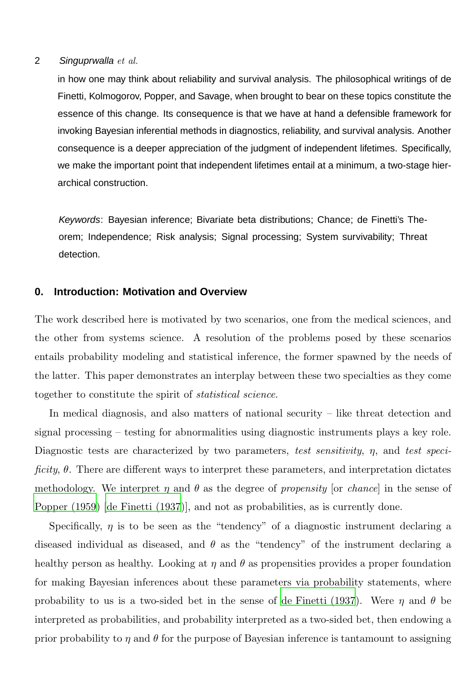in how one may think about reliability and survival analysis. The philosophical writings of de Finetti, Kolmogorov, Popper, and Savage, when brought to bear on these topics constitute the essence of this change. Its consequence is that we have at hand a defensible framework for invoking Bayesian inferential methods in diagnostics, reliability, and survival analysis. Another consequence is a deeper appreciation of the judgment of independent lifetimes. Specifically, we make the important point that independent lifetimes entail at a minimum, a two-stage hierarchical construction.

Keywords: Bayesian inference; Bivariate beta distributions; Chance; de Finetti's Theorem; Independence; Risk analysis; Signal processing; System survivability; Threat detection.

# **0. Introduction: Motivation and Overview**

The work described here is motivated by two scenarios, one from the medical sciences, and the other from systems science. A resolution of the problems posed by these scenarios entails probability modeling and statistical inference, the former spawned by the needs of the latter. This paper demonstrates an interplay between these two specialties as they come together to constitute the spirit of *statistical science*.

In medical diagnosis, and also matters of national security – like threat detection and signal processing – testing for abnormalities using diagnostic instruments plays a key role. Diagnostic tests are characterized by two parameters, *test sensitivity*, *n*, and *test specificity*, θ. There are different ways to interpret these parameters, and interpretation dictates methodology. We interpret  $\eta$  and  $\theta$  as the degree of *propensity* [or *chance*] in the sense of [Popper \(1959\)](#page-31-0) [\[de Finetti \(1937](#page-30-0))], and not as probabilities, as is currently done.

Specifically,  $\eta$  is to be seen as the "tendency" of a diagnostic instrument declaring a diseased individual as diseased, and  $\theta$  as the "tendency" of the instrument declaring a healthy person as healthy. Looking at  $\eta$  and  $\theta$  as propensities provides a proper foundation for making Bayesian inferences about these parameters via probability statements, where probability to us is a two-sided bet in the sense of [de Finetti](#page-30-0) (1937). Were  $\eta$  and  $\theta$  be interpreted as probabilities, and probability interpreted as a two-sided bet, then endowing a prior probability to  $\eta$  and  $\theta$  for the purpose of Bayesian inference is tantamount to assigning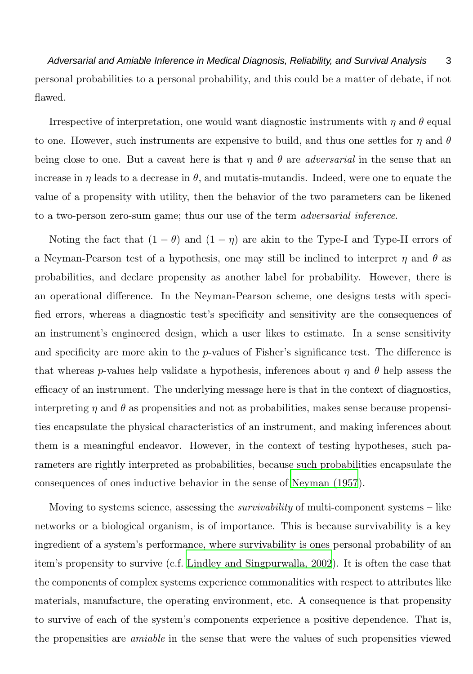Adversarial and Amiable Inference in Medical Diagnosis, Reliability, and Survival Analysis 3 personal probabilities to a personal probability, and this could be a matter of debate, if not flawed.

Irrespective of interpretation, one would want diagnostic instruments with  $\eta$  and  $\theta$  equal to one. However, such instruments are expensive to build, and thus one settles for  $\eta$  and  $\theta$ being close to one. But a caveat here is that  $\eta$  and  $\theta$  are *adversarial* in the sense that an increase in  $\eta$  leads to a decrease in  $\theta$ , and mutatis-mutandis. Indeed, were one to equate the value of a propensity with utility, then the behavior of the two parameters can be likened to a two-person zero-sum game; thus our use of the term *adversarial inference*.

Noting the fact that  $(1 - \theta)$  and  $(1 - \eta)$  are akin to the Type-I and Type-II errors of a Neyman-Pearson test of a hypothesis, one may still be inclined to interpret  $\eta$  and  $\theta$  as probabilities, and declare propensity as another label for probability. However, there is an operational difference. In the Neyman-Pearson scheme, one designs tests with specified errors, whereas a diagnostic test's specificity and sensitivity are the consequences of an instrument's engineered design, which a user likes to estimate. In a sense sensitivity and specificity are more akin to the  $p$ -values of Fisher's significance test. The difference is that whereas p-values help validate a hypothesis, inferences about  $\eta$  and  $\theta$  help assess the efficacy of an instrument. The underlying message here is that in the context of diagnostics, interpreting  $\eta$  and  $\theta$  as propensities and not as probabilities, makes sense because propensities encapsulate the physical characteristics of an instrument, and making inferences about them is a meaningful endeavor. However, in the context of testing hypotheses, such parameters are rightly interpreted as probabilities, because such probabilities encapsulate the consequences of ones inductive behavior in the sense of [Neyman \(1957](#page-31-1)).

Moving to systems science, assessing the *survivability* of multi-component systems – like networks or a biological organism, is of importance. This is because survivability is a key ingredient of a system's performance, where survivability is ones personal probability of an item's propensity to survive (c.f. [Lindley and Singpurwalla, 2002](#page-31-2)). It is often the case that the components of complex systems experience commonalities with respect to attributes like materials, manufacture, the operating environment, etc. A consequence is that propensity to survive of each of the system's components experience a positive dependence. That is, the propensities are *amiable* in the sense that were the values of such propensities viewed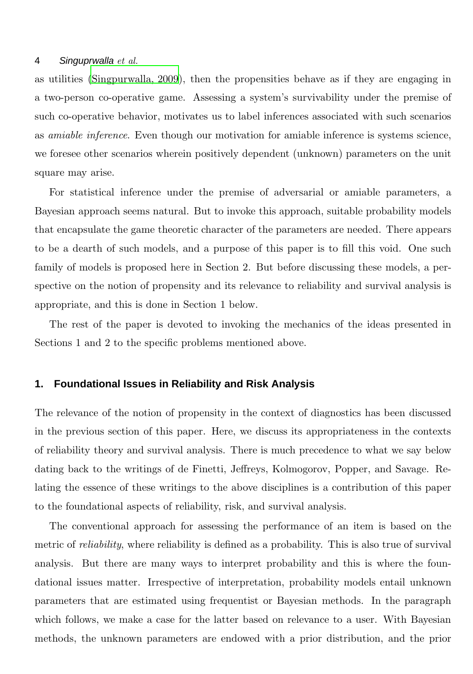as utilities [\(Singpurwalla, 2009](#page-31-3)), then the propensities behave as if they are engaging in a two-person co-operative game. Assessing a system's survivability under the premise of such co-operative behavior, motivates us to label inferences associated with such scenarios as *amiable inference*. Even though our motivation for amiable inference is systems science, we foresee other scenarios wherein positively dependent (unknown) parameters on the unit square may arise.

For statistical inference under the premise of adversarial or amiable parameters, a Bayesian approach seems natural. But to invoke this approach, suitable probability models that encapsulate the game theoretic character of the parameters are needed. There appears to be a dearth of such models, and a purpose of this paper is to fill this void. One such family of models is proposed here in Section 2. But before discussing these models, a perspective on the notion of propensity and its relevance to reliability and survival analysis is appropriate, and this is done in Section 1 below.

The rest of the paper is devoted to invoking the mechanics of the ideas presented in Sections 1 and 2 to the specific problems mentioned above.

# **1. Foundational Issues in Reliability and Risk Analysis**

The relevance of the notion of propensity in the context of diagnostics has been discussed in the previous section of this paper. Here, we discuss its appropriateness in the contexts of reliability theory and survival analysis. There is much precedence to what we say below dating back to the writings of de Finetti, Jeffreys, Kolmogorov, Popper, and Savage. Relating the essence of these writings to the above disciplines is a contribution of this paper to the foundational aspects of reliability, risk, and survival analysis.

The conventional approach for assessing the performance of an item is based on the metric of *reliability*, where reliability is defined as a probability. This is also true of survival analysis. But there are many ways to interpret probability and this is where the foundational issues matter. Irrespective of interpretation, probability models entail unknown parameters that are estimated using frequentist or Bayesian methods. In the paragraph which follows, we make a case for the latter based on relevance to a user. With Bayesian methods, the unknown parameters are endowed with a prior distribution, and the prior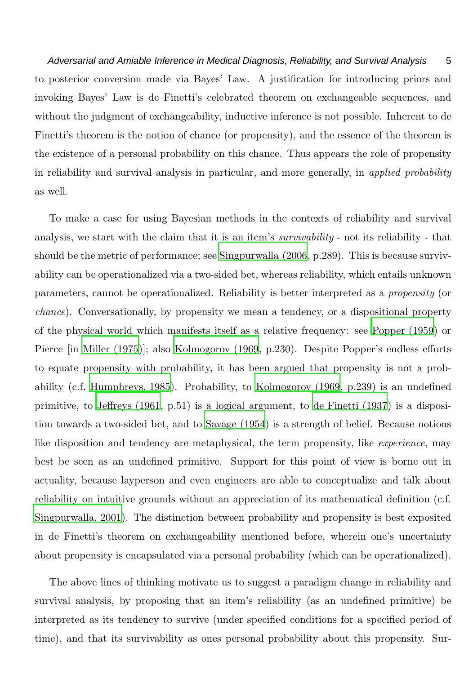Adversarial and Amiable Inference in Medical Diagnosis, Reliability, and Survival Analysis 5 to posterior conversion made via Bayes' Law. A justification for introducing priors and invoking Bayes' Law is de Finetti's celebrated theorem on exchangeable sequences, and without the judgment of exchangeability, inductive inference is not possible. Inherent to de Finetti's theorem is the notion of chance (or propensity), and the essence of the theorem is the existence of a personal probability on this chance. Thus appears the role of propensity in reliability and survival analysis in particular, and more generally, in *applied probability* as well.

To make a case for using Bayesian methods in the contexts of reliability and survival analysis, we start with the claim that it is an item's *survivability* - not its reliability - that should be the metric of performance; see [Singpurwalla \(2006](#page-31-4), p.289). This is because survivability can be operationalized via a two-sided bet, whereas reliability, which entails unknown parameters, cannot be operationalized. Reliability is better interpreted as a *propensity* (or *chance*). Conversationally, by propensity we mean a tendency, or a dispositional property of the physical world which manifests itself as a relative frequency: see [Popper \(1959\)](#page-31-0) or Pierce [in [Miller \(1975\)](#page-31-5)]; also [Kolmogorov \(1969](#page-30-1), p.230). Despite Popper's endless efforts to equate propensity with probability, it has been argued that propensity is not a probability (c.f. [Humphreys, 1985\)](#page-30-2). Probability, to [Kolmogorov \(1969](#page-30-1), p.239) is an undefined primitive, to [Jeffreys \(1961](#page-30-3), p.51) is a logical argument, to [de Finetti \(1937\)](#page-30-0) is a disposition towards a two-sided bet, and to [Savage \(1954](#page-31-6)) is a strength of belief. Because notions like disposition and tendency are metaphysical, the term propensity, like *experience*, may best be seen as an undefined primitive. Support for this point of view is borne out in actuality, because layperson and even engineers are able to conceptualize and talk about reliability on intuitive grounds without an appreciation of its mathematical definition (c.f. [Singpurwalla, 2001\)](#page-31-7). The distinction between probability and propensity is best exposited in de Finetti's theorem on exchangeability mentioned before, wherein one's uncertainty about propensity is encapsulated via a personal probability (which can be operationalized).

The above lines of thinking motivate us to suggest a paradigm change in reliability and survival analysis, by proposing that an item's reliability (as an undefined primitive) be interpreted as its tendency to survive (under specified conditions for a specified period of time), and that its survivability as ones personal probability about this propensity. Sur-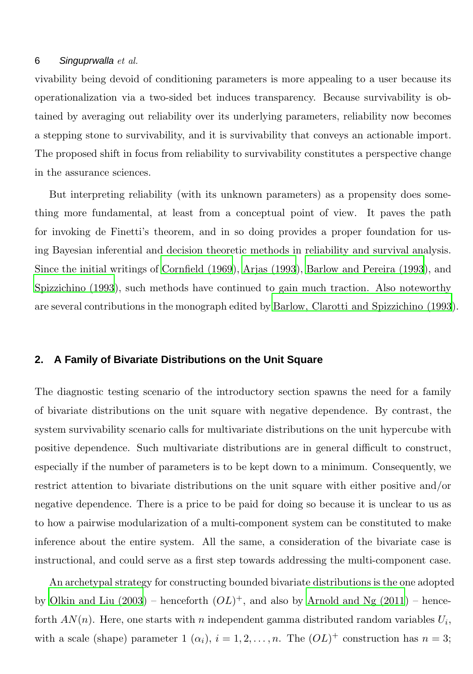vivability being devoid of conditioning parameters is more appealing to a user because its operationalization via a two-sided bet induces transparency. Because survivability is obtained by averaging out reliability over its underlying parameters, reliability now becomes a stepping stone to survivability, and it is survivability that conveys an actionable import. The proposed shift in focus from reliability to survivability constitutes a perspective change in the assurance sciences.

But interpreting reliability (with its unknown parameters) as a propensity does something more fundamental, at least from a conceptual point of view. It paves the path for invoking de Finetti's theorem, and in so doing provides a proper foundation for using Bayesian inferential and decision theoretic methods in reliability and survival analysis. Since the initial writings of [Cornfield \(1969](#page-30-4)), [Arjas \(1993](#page-29-0)), [Barlow and Pereira \(1993](#page-30-5)), and [Spizzichino \(1993](#page-31-8)), such methods have continued to gain much traction. Also noteworthy are several contributions in the monograph edited by [Barlow, Clarotti and Spizzichino \(1993](#page-29-1)).

# **2. A Family of Bivariate Distributions on the Unit Square**

The diagnostic testing scenario of the introductory section spawns the need for a family of bivariate distributions on the unit square with negative dependence. By contrast, the system survivability scenario calls for multivariate distributions on the unit hypercube with positive dependence. Such multivariate distributions are in general difficult to construct, especially if the number of parameters is to be kept down to a minimum. Consequently, we restrict attention to bivariate distributions on the unit square with either positive and/or negative dependence. There is a price to be paid for doing so because it is unclear to us as to how a pairwise modularization of a multi-component system can be constituted to make inference about the entire system. All the same, a consideration of the bivariate case is instructional, and could serve as a first step towards addressing the multi-component case.

An archetypal strategy for constructing bounded bivariate distributions is the one adopted by Olkin and Liu  $(2003)$  – henceforth  $(OL)^+$ , and also by Arnold and Ng  $(2011)$  – henceforth  $AN(n)$ . Here, one starts with n independent gamma distributed random variables  $U_i$ , with a scale (shape) parameter  $1(\alpha_i)$ ,  $i = 1, 2, ..., n$ . The  $(OL)^+$  construction has  $n = 3$ ;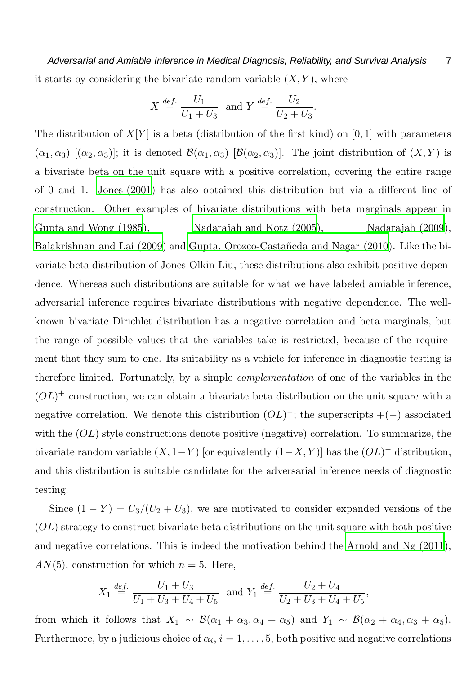Adversarial and Amiable Inference in Medical Diagnosis, Reliability, and Survival Analysis 7 it starts by considering the bivariate random variable  $(X, Y)$ , where

$$
X \stackrel{\text{def.}}{=} \frac{U_1}{U_1 + U_3} \text{ and } Y \stackrel{\text{def.}}{=} \frac{U_2}{U_2 + U_3}.
$$

The distribution of  $X[Y]$  is a beta (distribution of the first kind) on [0, 1] with parameters  $(\alpha_1, \alpha_3)$   $[(\alpha_2, \alpha_3)]$ ; it is denoted  $\mathcal{B}(\alpha_1, \alpha_3)$  [ $\mathcal{B}(\alpha_2, \alpha_3)$ ]. The joint distribution of  $(X, Y)$  is a bivariate beta on the unit square with a positive correlation, covering the entire range of 0 and 1. [Jones \(2001](#page-30-6)) has also obtained this distribution but via a different line of construction. Other examples of bivariate distributions with beta marginals appear in [Gupta and Wong \(1985](#page-30-7)), [Nadarajah and Kotz \(2005](#page-31-10)), [Nadarajah](#page-31-11) (2009), [Balakrishnan and Lai \(2009](#page-29-3)) and Gupta, Orozco-Castañeda and Nagar (2010). Like the bivariate beta distribution of Jones-Olkin-Liu, these distributions also exhibit positive dependence. Whereas such distributions are suitable for what we have labeled amiable inference, adversarial inference requires bivariate distributions with negative dependence. The wellknown bivariate Dirichlet distribution has a negative correlation and beta marginals, but the range of possible values that the variables take is restricted, because of the requirement that they sum to one. Its suitability as a vehicle for inference in diagnostic testing is therefore limited. Fortunately, by a simple *complementation* of one of the variables in the  $(OL)^+$  construction, we can obtain a bivariate beta distribution on the unit square with a negative correlation. We denote this distribution  $(OL)^-$ ; the superscripts  $+(-)$  associated with the  $(OL)$  style constructions denote positive (negative) correlation. To summarize, the bivariate random variable  $(X, 1-Y)$  [or equivalently  $(1-X, Y)$ ] has the  $(OL)^-$  distribution, and this distribution is suitable candidate for the adversarial inference needs of diagnostic testing.

Since  $(1 - Y) = U_3/(U_2 + U_3)$ , we are motivated to consider expanded versions of the  $(OL)$  strategy to construct bivariate beta distributions on the unit square with both positive and negative correlations. This is indeed the motivation behind the [Arnold and Ng \(2011](#page-29-2)),  $AN(5)$ , construction for which  $n = 5$ . Here,

$$
X_1 \stackrel{def.}{=} \frac{U_1 + U_3}{U_1 + U_3 + U_4 + U_5} \text{ and } Y_1 \stackrel{def.}{=} \frac{U_2 + U_4}{U_2 + U_3 + U_4 + U_5},
$$

from which it follows that  $X_1 \sim \mathcal{B}(\alpha_1 + \alpha_3, \alpha_4 + \alpha_5)$  and  $Y_1 \sim \mathcal{B}(\alpha_2 + \alpha_4, \alpha_3 + \alpha_5)$ . Furthermore, by a judicious choice of  $\alpha_i$ ,  $i = 1, \ldots, 5$ , both positive and negative correlations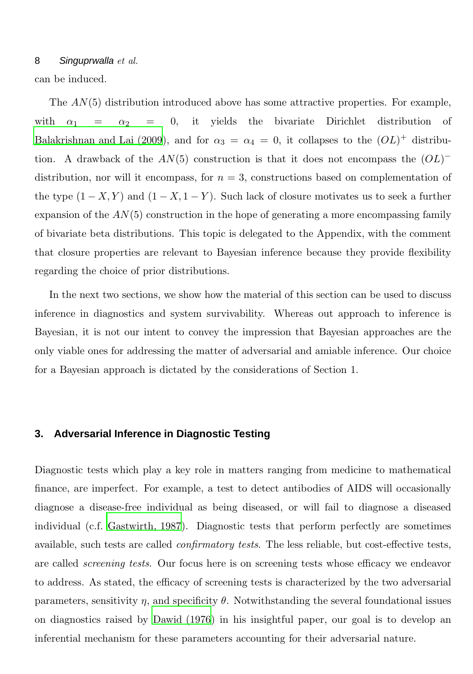can be induced.

The  $AN(5)$  distribution introduced above has some attractive properties. For example, with  $\alpha_1 = \alpha_2 = 0$ , it yields the bivariate Dirichlet distribution of [Balakrishnan and Lai \(2009](#page-29-3)), and for  $\alpha_3 = \alpha_4 = 0$ , it collapses to the  $(OL)^+$  distribution. A drawback of the  $AN(5)$  construction is that it does not encompass the  $(OL)^$ distribution, nor will it encompass, for  $n = 3$ , constructions based on complementation of the type  $(1 - X, Y)$  and  $(1 - X, 1 - Y)$ . Such lack of closure motivates us to seek a further expansion of the  $AN(5)$  construction in the hope of generating a more encompassing family of bivariate beta distributions. This topic is delegated to the Appendix, with the comment that closure properties are relevant to Bayesian inference because they provide flexibility regarding the choice of prior distributions.

In the next two sections, we show how the material of this section can be used to discuss inference in diagnostics and system survivability. Whereas out approach to inference is Bayesian, it is not our intent to convey the impression that Bayesian approaches are the only viable ones for addressing the matter of adversarial and amiable inference. Our choice for a Bayesian approach is dictated by the considerations of Section 1.

# **3. Adversarial Inference in Diagnostic Testing**

Diagnostic tests which play a key role in matters ranging from medicine to mathematical finance, are imperfect. For example, a test to detect antibodies of AIDS will occasionally diagnose a disease-free individual as being diseased, or will fail to diagnose a diseased individual (c.f. [Gastwirth, 1987](#page-30-9)). Diagnostic tests that perform perfectly are sometimes available, such tests are called *confirmatory tests*. The less reliable, but cost-effective tests, are called *screening tests*. Our focus here is on screening tests whose efficacy we endeavor to address. As stated, the efficacy of screening tests is characterized by the two adversarial parameters, sensitivity  $\eta$ , and specificity  $\theta$ . Notwithstanding the several foundational issues on diagnostics raised by [Dawid \(1976\)](#page-30-10) in his insightful paper, our goal is to develop an inferential mechanism for these parameters accounting for their adversarial nature.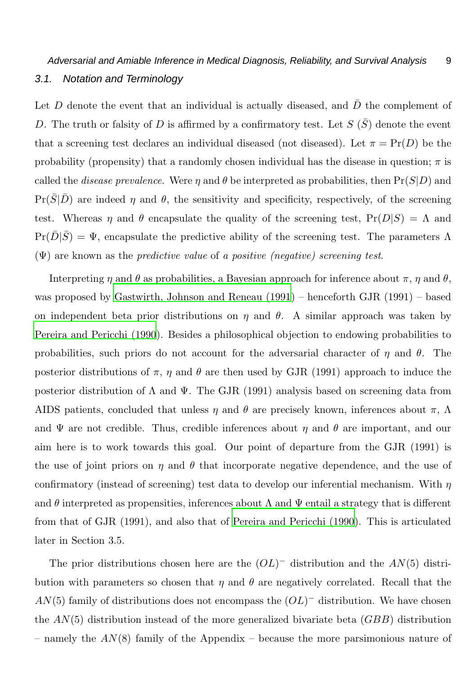Let D denote the event that an individual is actually diseased, and  $\bar{D}$  the complement of D. The truth or falsity of D is affirmed by a confirmatory test. Let  $S(\bar{S})$  denote the event that a screening test declares an individual diseased (not diseased). Let  $\pi = \Pr(D)$  be the probability (propensity) that a randomly chosen individual has the disease in question;  $\pi$  is called the *disease prevalence*. Were  $\eta$  and  $\theta$  be interpreted as probabilities, then  $Pr(S|D)$  and  $Pr(S|D)$  are indeed  $\eta$  and  $\theta$ , the sensitivity and specificity, respectively, of the screening test. Whereas  $\eta$  and  $\theta$  encapsulate the quality of the screening test,  $Pr(D|S) = \Lambda$  and  $Pr(\bar{D}|\bar{S}) = \Psi$ , encapsulate the predictive ability of the screening test. The parameters  $\Lambda$ (Ψ) are known as the *predictive value* of *a positive (negative) screening test*.

Interpreting  $\eta$  and  $\theta$  as probabilities, a Bayesian approach for inference about  $\pi$ ,  $\eta$  and  $\theta$ , was proposed by [Gastwirth, Johnson and Reneau \(1991\)](#page-30-11) – henceforth GJR (1991) – based on independent beta prior distributions on  $\eta$  and  $\theta$ . A similar approach was taken by [Pereira and Pericchi \(1990](#page-31-12)). Besides a philosophical objection to endowing probabilities to probabilities, such priors do not account for the adversarial character of  $\eta$  and  $\theta$ . The posterior distributions of  $\pi$ ,  $\eta$  and  $\theta$  are then used by GJR (1991) approach to induce the posterior distribution of  $\Lambda$  and  $\Psi$ . The GJR (1991) analysis based on screening data from AIDS patients, concluded that unless  $\eta$  and  $\theta$  are precisely known, inferences about  $\pi$ ,  $\Lambda$ and  $\Psi$  are not credible. Thus, credible inferences about  $\eta$  and  $\theta$  are important, and our aim here is to work towards this goal. Our point of departure from the GJR (1991) is the use of joint priors on  $\eta$  and  $\theta$  that incorporate negative dependence, and the use of confirmatory (instead of screening) test data to develop our inferential mechanism. With  $\eta$ and  $\theta$  interpreted as propensities, inferences about  $\Lambda$  and  $\Psi$  entail a strategy that is different from that of GJR (1991), and also that of [Pereira and Pericchi](#page-31-12) (1990). This is articulated later in Section 3.5.

The prior distributions chosen here are the  $(OL)$ <sup>-</sup> distribution and the  $AN(5)$  distribution with parameters so chosen that  $\eta$  and  $\theta$  are negatively correlated. Recall that the  $AN(5)$  family of distributions does not encompass the  $(OL)$ <sup>-</sup> distribution. We have chosen the  $AN(5)$  distribution instead of the more generalized bivariate beta  $(GBB)$  distribution – namely the  $AN(8)$  family of the Appendix – because the more parsimonious nature of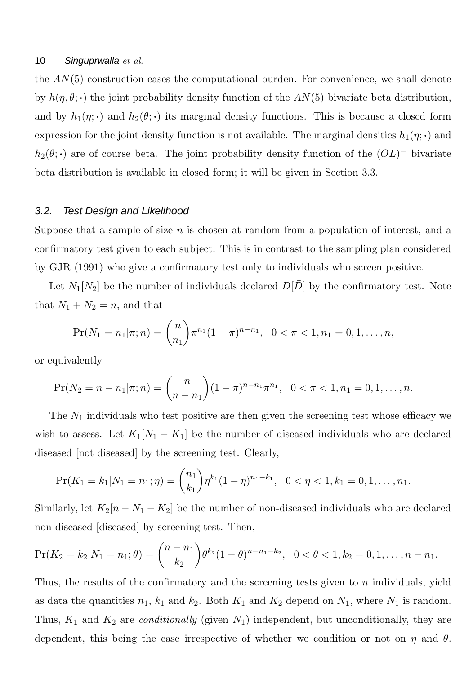the  $AN(5)$  construction eases the computational burden. For convenience, we shall denote by  $h(\eta, \theta; \cdot)$  the joint probability density function of the  $AN(5)$  bivariate beta distribution, and by  $h_1(\eta; \cdot)$  and  $h_2(\theta; \cdot)$  its marginal density functions. This is because a closed form expression for the joint density function is not available. The marginal densities  $h_1(\eta; \cdot)$  and  $h_2(\theta; \cdot)$  are of course beta. The joint probability density function of the  $(OL)^-$  bivariate beta distribution is available in closed form; it will be given in Section 3.3.

#### 3.2. Test Design and Likelihood

Suppose that a sample of size  $n$  is chosen at random from a population of interest, and a confirmatory test given to each subject. This is in contrast to the sampling plan considered by GJR (1991) who give a confirmatory test only to individuals who screen positive.

Let  $N_1[N_2]$  be the number of individuals declared  $D[D]$  by the confirmatory test. Note that  $N_1 + N_2 = n$ , and that

$$
\Pr(N_1 = n_1 | \pi; n) = {n \choose n_1} \pi^{n_1} (1 - \pi)^{n - n_1}, \quad 0 < \pi < 1, n_1 = 0, 1, \dots, n,
$$

or equivalently

$$
\Pr(N_2 = n - n_1 | \pi; n) = {n \choose n - n_1} (1 - \pi)^{n - n_1} \pi^{n_1}, \quad 0 < \pi < 1, n_1 = 0, 1, \dots, n.
$$

The  $N_1$  individuals who test positive are then given the screening test whose efficacy we wish to assess. Let  $K_1[N_1 - K_1]$  be the number of diseased individuals who are declared diseased [not diseased] by the screening test. Clearly,

$$
\Pr(K_1 = k_1 | N_1 = n_1; \eta) = \binom{n_1}{k_1} \eta^{k_1} (1 - \eta)^{n_1 - k_1}, \quad 0 < \eta < 1, k_1 = 0, 1, \dots, n_1.
$$

Similarly, let  $K_2[n - N_1 - K_2]$  be the number of non-diseased individuals who are declared non-diseased [diseased] by screening test. Then,

$$
\Pr(K_2 = k_2 | N_1 = n_1; \theta) = \binom{n - n_1}{k_2} \theta^{k_2} (1 - \theta)^{n - n_1 - k_2}, \quad 0 < \theta < 1, k_2 = 0, 1, \dots, n - n_1.
$$

Thus, the results of the confirmatory and the screening tests given to  $n$  individuals, yield as data the quantities  $n_1$ ,  $k_1$  and  $k_2$ . Both  $K_1$  and  $K_2$  depend on  $N_1$ , where  $N_1$  is random. Thus,  $K_1$  and  $K_2$  are *conditionally* (given  $N_1$ ) independent, but unconditionally, they are dependent, this being the case irrespective of whether we condition or not on  $\eta$  and  $\theta$ .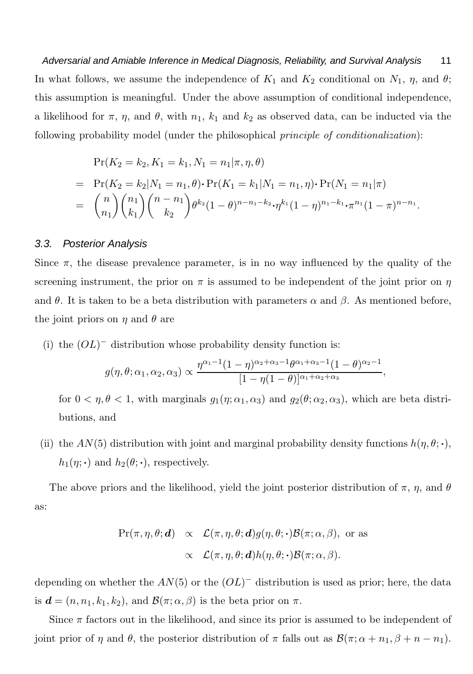Adversarial and Amiable Inference in Medical Diagnosis, Reliability, and Survival Analysis 11 In what follows, we assume the independence of  $K_1$  and  $K_2$  conditional on  $N_1$ ,  $\eta$ , and  $\theta$ ; this assumption is meaningful. Under the above assumption of conditional independence, a likelihood for  $\pi$ ,  $\eta$ , and  $\theta$ , with  $n_1$ ,  $k_1$  and  $k_2$  as observed data, can be inducted via the following probability model (under the philosophical *principle of conditionalization*):

$$
\Pr(K_2 = k_2, K_1 = k_1, N_1 = n_1 | \pi, \eta, \theta)
$$
  
= 
$$
\Pr(K_2 = k_2 | N_1 = n_1, \theta) \cdot \Pr(K_1 = k_1 | N_1 = n_1, \eta) \cdot \Pr(N_1 = n_1 | \pi)
$$
  
= 
$$
{n \choose n_1} {n_1 \choose k_1} {n - n_1 \choose k_2} \theta^{k_2} (1 - \theta)^{n - n_1 - k_2} \cdot \eta^{k_1} (1 - \eta)^{n_1 - k_1} \cdot \pi^{n_1} (1 - \pi)^{n - n_1}.
$$

#### 3.3. Posterior Analysis

Since  $\pi$ , the disease prevalence parameter, is in no way influenced by the quality of the screening instrument, the prior on  $\pi$  is assumed to be independent of the joint prior on  $\eta$ and  $\theta$ . It is taken to be a beta distribution with parameters  $\alpha$  and  $\beta$ . As mentioned before, the joint priors on  $\eta$  and  $\theta$  are

(i) the  $(OL)$ <sup>-</sup> distribution whose probability density function is:

$$
g(\eta,\theta;\alpha_1,\alpha_2,\alpha_3) \propto \frac{\eta^{\alpha_1-1}(1-\eta)^{\alpha_2+\alpha_3-1}\theta^{\alpha_1+\alpha_3-1}(1-\theta)^{\alpha_2-1}}{[1-\eta(1-\theta)]^{\alpha_1+\alpha_2+\alpha_3}},
$$

for  $0 < \eta, \theta < 1$ , with marginals  $g_1(\eta; \alpha_1, \alpha_3)$  and  $g_2(\theta; \alpha_2, \alpha_3)$ , which are beta distributions, and

(ii) the  $AN(5)$  distribution with joint and marginal probability density functions  $h(\eta, \theta; \cdot)$ ,  $h_1(\eta; \cdot)$  and  $h_2(\theta; \cdot)$ , respectively.

The above priors and the likelihood, yield the joint posterior distribution of  $\pi$ ,  $\eta$ , and  $\theta$ as:

$$
\Pr(\pi, \eta, \theta; \mathbf{d}) \propto \mathcal{L}(\pi, \eta, \theta; \mathbf{d}) g(\eta, \theta; \cdot) \mathcal{B}(\pi; \alpha, \beta), \text{ or as}
$$

$$
\propto \mathcal{L}(\pi, \eta, \theta; \mathbf{d}) h(\eta, \theta; \cdot) \mathcal{B}(\pi; \alpha, \beta).
$$

depending on whether the  $AN(5)$  or the  $(OL)^-$  distribution is used as prior; here, the data is  $\mathbf{d} = (n, n_1, k_1, k_2)$ , and  $\mathcal{B}(\pi; \alpha, \beta)$  is the beta prior on  $\pi$ .

Since  $\pi$  factors out in the likelihood, and since its prior is assumed to be independent of joint prior of  $\eta$  and  $\theta$ , the posterior distribution of  $\pi$  falls out as  $\mathcal{B}(\pi; \alpha + n_1, \beta + n - n_1)$ .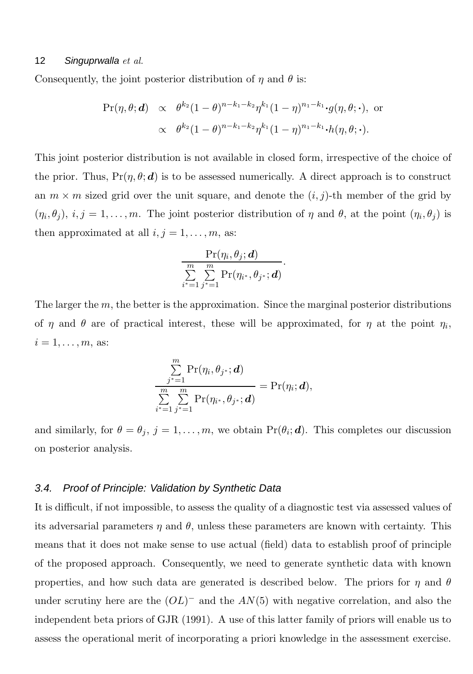Consequently, the joint posterior distribution of  $\eta$  and  $\theta$  is:

$$
\Pr(\eta, \theta; \mathbf{d}) \propto \theta^{k_2} (1-\theta)^{n-k_1-k_2} \eta^{k_1} (1-\eta)^{n_1-k_1} \cdot g(\eta, \theta; \cdot), \text{ or}
$$

$$
\propto \theta^{k_2} (1-\theta)^{n-k_1-k_2} \eta^{k_1} (1-\eta)^{n_1-k_1} \cdot h(\eta, \theta; \cdot).
$$

This joint posterior distribution is not available in closed form, irrespective of the choice of the prior. Thus,  $Pr(\eta, \theta; \mathbf{d})$  is to be assessed numerically. A direct approach is to construct an  $m \times m$  sized grid over the unit square, and denote the  $(i, j)$ -th member of the grid by  $(\eta_i, \theta_j), i, j = 1, \ldots, m$ . The joint posterior distribution of  $\eta$  and  $\theta$ , at the point  $(\eta_i, \theta_j)$  is then approximated at all  $i, j = 1, \ldots, m$ , as:

$$
\frac{\Pr(\eta_i, \theta_j; \boldsymbol{d})}{\sum\limits_{i^*=1}^{m}\sum\limits_{j^*=1}^{m}\Pr(\eta_{i^*}, \theta_{j^*}; \boldsymbol{d})}
$$

.

The larger the  $m$ , the better is the approximation. Since the marginal posterior distributions of  $\eta$  and  $\theta$  are of practical interest, these will be approximated, for  $\eta$  at the point  $\eta_i$ ,  $i=1,\ldots,m$ , as:

$$
\frac{\sum\limits_{j^*=1}^m \Pr(\eta_i, \theta_{j^*}; \boldsymbol{d})}{\sum\limits_{i^*=1}^m \sum\limits_{j^*=1}^m \Pr(\eta_{i^*}, \theta_{j^*}; \boldsymbol{d})} = \Pr(\eta_i; \boldsymbol{d}),
$$

and similarly, for  $\theta = \theta_j$ ,  $j = 1, ..., m$ , we obtain  $Pr(\theta_i; \boldsymbol{d})$ . This completes our discussion on posterior analysis.

#### 3.4. Proof of Principle: Validation by Synthetic Data

It is difficult, if not impossible, to assess the quality of a diagnostic test via assessed values of its adversarial parameters  $\eta$  and  $\theta$ , unless these parameters are known with certainty. This means that it does not make sense to use actual (field) data to establish proof of principle of the proposed approach. Consequently, we need to generate synthetic data with known properties, and how such data are generated is described below. The priors for  $\eta$  and  $\theta$ under scrutiny here are the  $(OL)$ <sup>-</sup> and the  $AN(5)$  with negative correlation, and also the independent beta priors of GJR (1991). A use of this latter family of priors will enable us to assess the operational merit of incorporating a priori knowledge in the assessment exercise.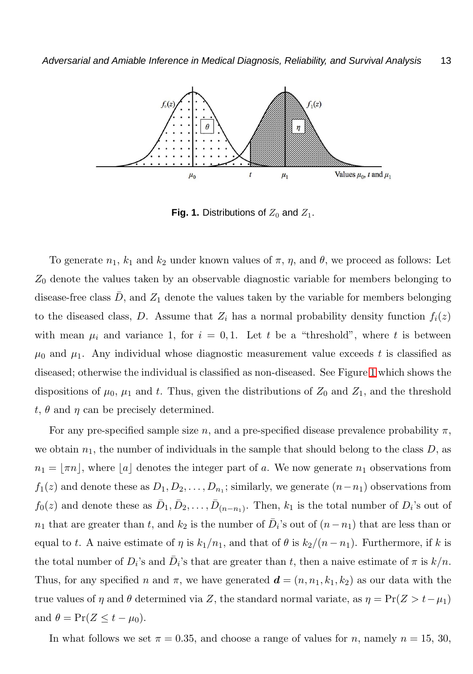

<span id="page-12-0"></span>**Fig. 1.** Distributions of  $Z_0$  and  $Z_1$ .

To generate  $n_1$ ,  $k_1$  and  $k_2$  under known values of  $\pi$ ,  $\eta$ , and  $\theta$ , we proceed as follows: Let  $Z_0$  denote the values taken by an observable diagnostic variable for members belonging to disease-free class  $\bar{D}$ , and  $Z_1$  denote the values taken by the variable for members belonging to the diseased class, D. Assume that  $Z_i$  has a normal probability density function  $f_i(z)$ with mean  $\mu_i$  and variance 1, for  $i = 0,1$ . Let t be a "threshold", where t is between  $\mu_0$  and  $\mu_1$ . Any individual whose diagnostic measurement value exceeds t is classified as diseased; otherwise the individual is classified as non-diseased. See Figure [1](#page-12-0) which shows the dispositions of  $\mu_0$ ,  $\mu_1$  and t. Thus, given the distributions of  $Z_0$  and  $Z_1$ , and the threshold t,  $\theta$  and  $\eta$  can be precisely determined.

For any pre-specified sample size n, and a pre-specified disease prevalence probability  $\pi$ , we obtain  $n_1$ , the number of individuals in the sample that should belong to the class  $D$ , as  $n_1 = \lfloor \pi n \rfloor$ , where  $\lfloor a \rfloor$  denotes the integer part of a. We now generate  $n_1$  observations from  $f_1(z)$  and denote these as  $D_1, D_2, \ldots, D_{n_1}$ ; similarly, we generate  $(n-n_1)$  observations from  $f_0(z)$  and denote these as  $\bar{D}_1, \bar{D}_2, \ldots, \bar{D}_{(n-n_1)}$ . Then,  $k_1$  is the total number of  $D_i$ 's out of  $n_1$  that are greater than t, and  $k_2$  is the number of  $\overline{D}_i$ 's out of  $(n - n_1)$  that are less than or equal to t. A naive estimate of  $\eta$  is  $k_1/n_1$ , and that of  $\theta$  is  $k_2/(n-n_1)$ . Furthermore, if k is the total number of  $D_i$ 's and  $\bar{D}_i$ 's that are greater than t, then a naive estimate of  $\pi$  is  $k/n$ . Thus, for any specified n and  $\pi$ , we have generated  $\mathbf{d} = (n, n_1, k_1, k_2)$  as our data with the true values of  $\eta$  and  $\theta$  determined via Z, the standard normal variate, as  $\eta = \Pr(Z > t - \mu_1)$ and  $\theta = \Pr(Z \leq t - \mu_0)$ .

In what follows we set  $\pi = 0.35$ , and choose a range of values for n, namely  $n = 15, 30$ ,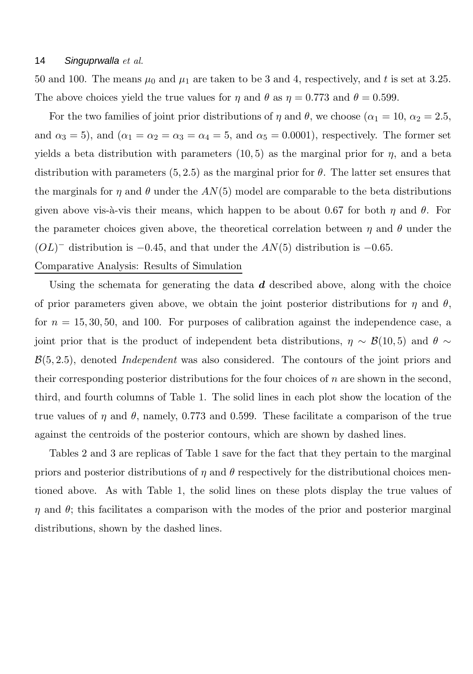50 and 100. The means  $\mu_0$  and  $\mu_1$  are taken to be 3 and 4, respectively, and t is set at 3.25. The above choices yield the true values for  $\eta$  and  $\theta$  as  $\eta = 0.773$  and  $\theta = 0.599$ .

For the two families of joint prior distributions of  $\eta$  and  $\theta$ , we choose ( $\alpha_1 = 10$ ,  $\alpha_2 = 2.5$ , and  $\alpha_3 = 5$ ), and  $(\alpha_1 = \alpha_2 = \alpha_3 = \alpha_4 = 5$ , and  $\alpha_5 = 0.0001$ ), respectively. The former set yields a beta distribution with parameters  $(10, 5)$  as the marginal prior for  $\eta$ , and a beta distribution with parameters  $(5, 2.5)$  as the marginal prior for  $\theta$ . The latter set ensures that the marginals for  $\eta$  and  $\theta$  under the  $AN(5)$  model are comparable to the beta distributions given above vis-à-vis their means, which happen to be about 0.67 for both  $\eta$  and  $\theta$ . For the parameter choices given above, the theoretical correlation between  $\eta$  and  $\theta$  under the  $(OL)$ <sup>-</sup> distribution is -0.45, and that under the  $AN(5)$  distribution is -0.65.

# Comparative Analysis: Results of Simulation

Using the schemata for generating the data  $d$  described above, along with the choice of prior parameters given above, we obtain the joint posterior distributions for  $\eta$  and  $\theta$ , for  $n = 15, 30, 50,$  and 100. For purposes of calibration against the independence case, a joint prior that is the product of independent beta distributions,  $\eta \sim \mathcal{B}(10, 5)$  and  $\theta \sim$ B(5, 2.5), denoted *Independent* was also considered. The contours of the joint priors and their corresponding posterior distributions for the four choices of  $n$  are shown in the second, third, and fourth columns of Table 1. The solid lines in each plot show the location of the true values of  $\eta$  and  $\theta$ , namely, 0.773 and 0.599. These facilitate a comparison of the true against the centroids of the posterior contours, which are shown by dashed lines.

Tables 2 and 3 are replicas of Table 1 save for the fact that they pertain to the marginal priors and posterior distributions of  $\eta$  and  $\theta$  respectively for the distributional choices mentioned above. As with Table 1, the solid lines on these plots display the true values of  $\eta$  and  $\theta$ ; this facilitates a comparison with the modes of the prior and posterior marginal distributions, shown by the dashed lines.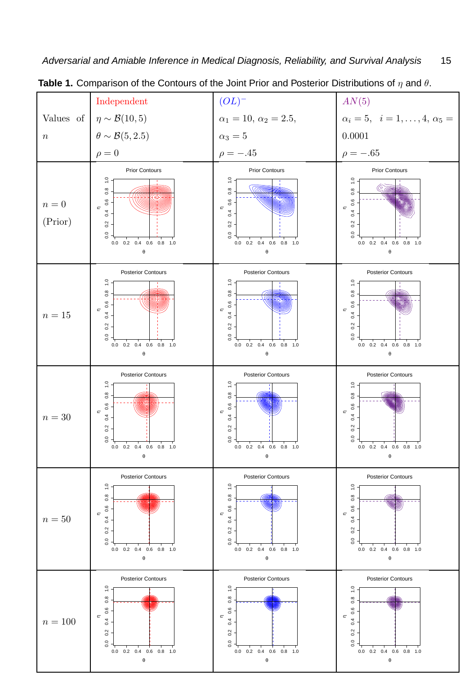

**Table 1.** Comparison of the Contours of the Joint Prior and Posterior Distributions of η and θ.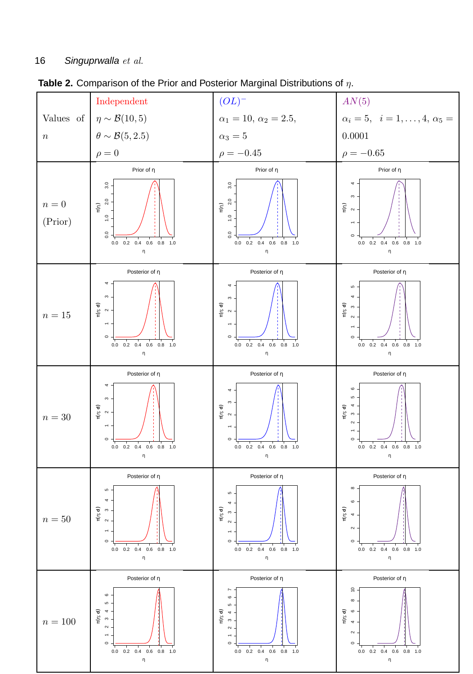

**Table 2.** Comparison of the Prior and Posterior Marginal Distributions of η.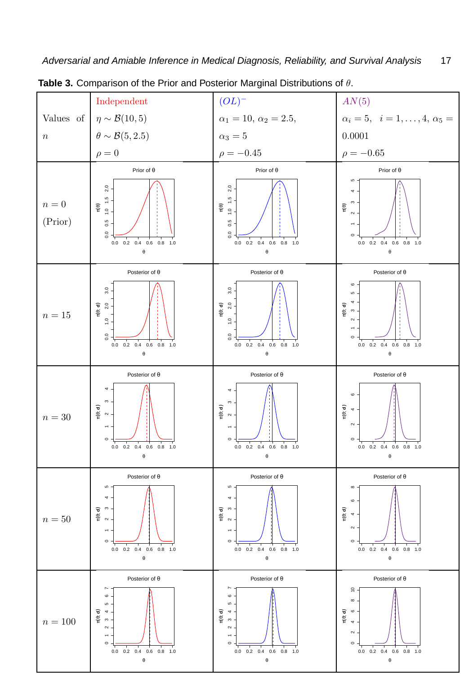

**Table 3.** Comparison of the Prior and Posterior Marginal Distributions of θ.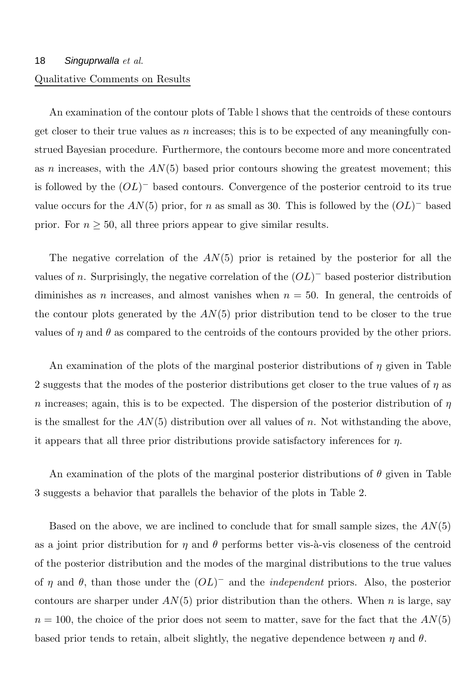# 18 Singuprwalla *et al.* Qualitative Comments on Results

An examination of the contour plots of Table l shows that the centroids of these contours get closer to their true values as  $n$  increases; this is to be expected of any meaningfully construed Bayesian procedure. Furthermore, the contours become more and more concentrated as n increases, with the  $AN(5)$  based prior contours showing the greatest movement; this is followed by the  $(OL)^-$  based contours. Convergence of the posterior centroid to its true value occurs for the  $AN(5)$  prior, for n as small as 30. This is followed by the  $(OL)^-$  based prior. For  $n \geq 50$ , all three priors appear to give similar results.

The negative correlation of the  $AN(5)$  prior is retained by the posterior for all the values of n. Surprisingly, the negative correlation of the  $(OL)^-$  based posterior distribution diminishes as n increases, and almost vanishes when  $n = 50$ . In general, the centroids of the contour plots generated by the  $AN(5)$  prior distribution tend to be closer to the true values of  $\eta$  and  $\theta$  as compared to the centroids of the contours provided by the other priors.

An examination of the plots of the marginal posterior distributions of  $\eta$  given in Table 2 suggests that the modes of the posterior distributions get closer to the true values of  $\eta$  as n increases; again, this is to be expected. The dispersion of the posterior distribution of  $\eta$ is the smallest for the  $AN(5)$  distribution over all values of n. Not withstanding the above, it appears that all three prior distributions provide satisfactory inferences for  $\eta$ .

An examination of the plots of the marginal posterior distributions of  $\theta$  given in Table 3 suggests a behavior that parallels the behavior of the plots in Table 2.

Based on the above, we are inclined to conclude that for small sample sizes, the  $AN(5)$ as a joint prior distribution for  $\eta$  and  $\theta$  performs better vis- $\alpha$ -vis closeness of the centroid of the posterior distribution and the modes of the marginal distributions to the true values of  $\eta$  and  $\theta$ , than those under the  $(OL)^-$  and the *independent* priors. Also, the posterior contours are sharper under  $AN(5)$  prior distribution than the others. When n is large, say  $n = 100$ , the choice of the prior does not seem to matter, save for the fact that the  $AN(5)$ based prior tends to retain, albeit slightly, the negative dependence between  $\eta$  and  $\theta$ .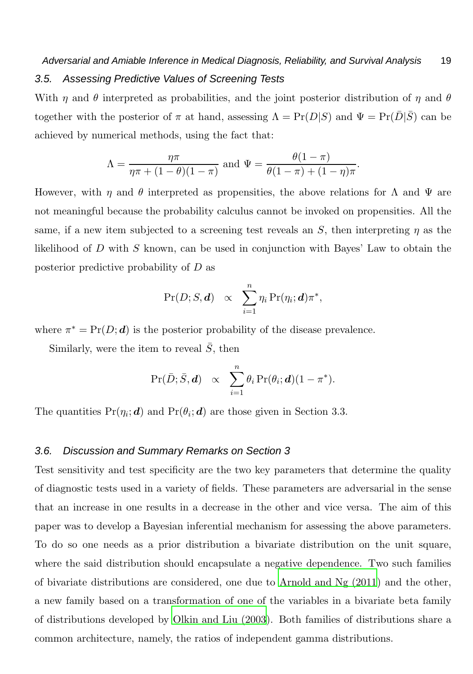# Adversarial and Amiable Inference in Medical Diagnosis, Reliability, and Survival Analysis 19 3.5. Assessing Predictive Values of Screening Tests

With  $\eta$  and  $\theta$  interpreted as probabilities, and the joint posterior distribution of  $\eta$  and  $\theta$ together with the posterior of  $\pi$  at hand, assessing  $\Lambda = \Pr(D|S)$  and  $\Psi = \Pr(\bar{D}|\bar{S})$  can be achieved by numerical methods, using the fact that:

$$
\Lambda = \frac{\eta \pi}{\eta \pi + (1 - \theta)(1 - \pi)} \text{ and } \Psi = \frac{\theta(1 - \pi)}{\theta(1 - \pi) + (1 - \eta)\pi}.
$$

However, with  $\eta$  and  $\theta$  interpreted as propensities, the above relations for  $\Lambda$  and  $\Psi$  are not meaningful because the probability calculus cannot be invoked on propensities. All the same, if a new item subjected to a screening test reveals an S, then interpreting  $\eta$  as the likelihood of  $D$  with  $S$  known, can be used in conjunction with Bayes' Law to obtain the posterior predictive probability of D as

$$
\Pr(D; S, d) \propto \sum_{i=1}^n \eta_i \Pr(\eta_i; d) \pi^*,
$$

where  $\pi^* = Pr(D; d)$  is the posterior probability of the disease prevalence.

Similarly, were the item to reveal  $\bar{S}$ , then

$$
\Pr(\bar{D}; \bar{S}, \mathbf{d}) \propto \sum_{i=1}^{n} \theta_i \Pr(\theta_i; \mathbf{d}) (1 - \pi^*).
$$

The quantities  $Pr(\eta_i; \boldsymbol{d})$  and  $Pr(\theta_i; \boldsymbol{d})$  are those given in Section 3.3.

# 3.6. Discussion and Summary Remarks on Section 3

Test sensitivity and test specificity are the two key parameters that determine the quality of diagnostic tests used in a variety of fields. These parameters are adversarial in the sense that an increase in one results in a decrease in the other and vice versa. The aim of this paper was to develop a Bayesian inferential mechanism for assessing the above parameters. To do so one needs as a prior distribution a bivariate distribution on the unit square, where the said distribution should encapsulate a negative dependence. Two such families of bivariate distributions are considered, one due to [Arnold and Ng \(2011\)](#page-29-2) and the other, a new family based on a transformation of one of the variables in a bivariate beta family of distributions developed by [Olkin and Liu \(2003](#page-31-9)). Both families of distributions share a common architecture, namely, the ratios of independent gamma distributions.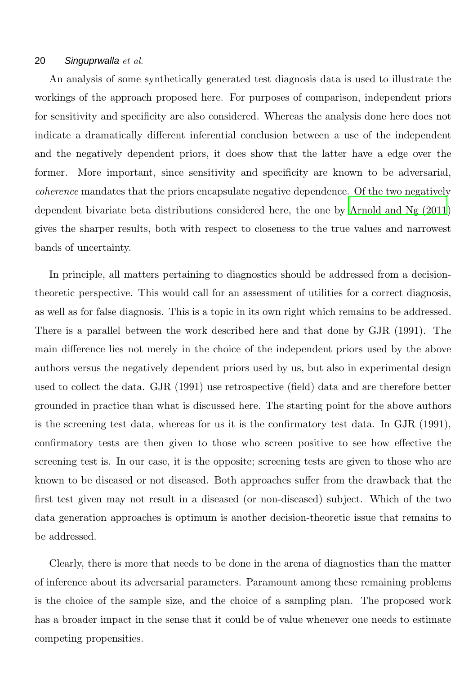An analysis of some synthetically generated test diagnosis data is used to illustrate the workings of the approach proposed here. For purposes of comparison, independent priors for sensitivity and specificity are also considered. Whereas the analysis done here does not indicate a dramatically different inferential conclusion between a use of the independent and the negatively dependent priors, it does show that the latter have a edge over the former. More important, since sensitivity and specificity are known to be adversarial, *coherence* mandates that the priors encapsulate negative dependence. Of the two negatively dependent bivariate beta distributions considered here, the one by [Arnold and Ng \(2011](#page-29-2)) gives the sharper results, both with respect to closeness to the true values and narrowest bands of uncertainty.

In principle, all matters pertaining to diagnostics should be addressed from a decisiontheoretic perspective. This would call for an assessment of utilities for a correct diagnosis, as well as for false diagnosis. This is a topic in its own right which remains to be addressed. There is a parallel between the work described here and that done by GJR (1991). The main difference lies not merely in the choice of the independent priors used by the above authors versus the negatively dependent priors used by us, but also in experimental design used to collect the data. GJR (1991) use retrospective (field) data and are therefore better grounded in practice than what is discussed here. The starting point for the above authors is the screening test data, whereas for us it is the confirmatory test data. In GJR (1991), confirmatory tests are then given to those who screen positive to see how effective the screening test is. In our case, it is the opposite; screening tests are given to those who are known to be diseased or not diseased. Both approaches suffer from the drawback that the first test given may not result in a diseased (or non-diseased) subject. Which of the two data generation approaches is optimum is another decision-theoretic issue that remains to be addressed.

Clearly, there is more that needs to be done in the arena of diagnostics than the matter of inference about its adversarial parameters. Paramount among these remaining problems is the choice of the sample size, and the choice of a sampling plan. The proposed work has a broader impact in the sense that it could be of value whenever one needs to estimate competing propensities.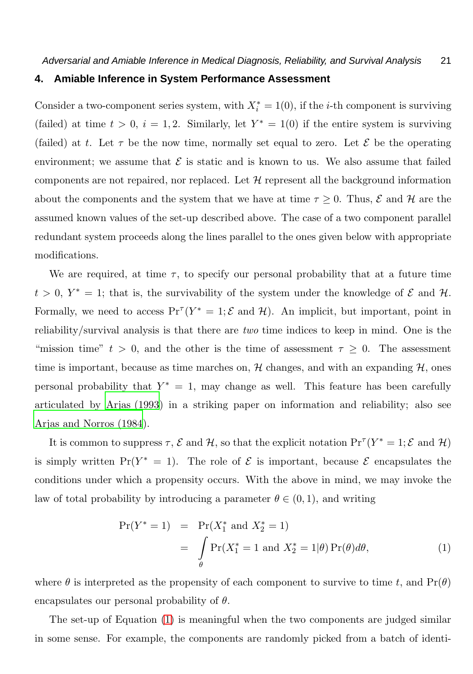#### **4. Amiable Inference in System Performance Assessment**

Consider a two-component series system, with  $X_i^* = 1(0)$ , if the *i*-th component is surviving (failed) at time  $t > 0$ ,  $i = 1, 2$ . Similarly, let  $Y^* = 1(0)$  if the entire system is surviving (failed) at t. Let  $\tau$  be the now time, normally set equal to zero. Let  $\mathcal E$  be the operating environment; we assume that  $\mathcal E$  is static and is known to us. We also assume that failed components are not repaired, nor replaced. Let  $\mathcal H$  represent all the background information about the components and the system that we have at time  $\tau \geq 0$ . Thus,  $\mathcal E$  and  $\mathcal H$  are the assumed known values of the set-up described above. The case of a two component parallel redundant system proceeds along the lines parallel to the ones given below with appropriate modifications.

We are required, at time  $\tau$ , to specify our personal probability that at a future time  $t > 0$ ,  $Y^* = 1$ ; that is, the survivability of the system under the knowledge of  $\mathcal E$  and  $\mathcal H$ . Formally, we need to access  $Pr^{T}(Y^* = 1; \mathcal{E} \text{ and } \mathcal{H})$ . An implicit, but important, point in reliability/survival analysis is that there are *two* time indices to keep in mind. One is the "mission time"  $t > 0$ , and the other is the time of assessment  $\tau \geq 0$ . The assessment time is important, because as time marches on,  $H$  changes, and with an expanding  $H$ , ones personal probability that  $Y^* = 1$ , may change as well. This feature has been carefully articulated by [Arjas \(1993](#page-29-0)) in a striking paper on information and reliability; also see [Arjas and Norros \(1984](#page-29-4)).

It is common to suppress  $\tau$ ,  $\mathcal E$  and  $\mathcal H$ , so that the explicit notation  $\Pr^{\tau}(Y^* = 1; \mathcal E$  and  $\mathcal H)$ is simply written  $Pr(Y^* = 1)$ . The role of  $\mathcal E$  is important, because  $\mathcal E$  encapsulates the conditions under which a propensity occurs. With the above in mind, we may invoke the law of total probability by introducing a parameter  $\theta \in (0,1)$ , and writing

<span id="page-20-0"></span>
$$
\Pr(Y^* = 1) = \Pr(X_1^* \text{ and } X_2^* = 1) \n= \int_{\theta} \Pr(X_1^* = 1 \text{ and } X_2^* = 1 | \theta) \Pr(\theta) d\theta,
$$
\n(1)

where  $\theta$  is interpreted as the propensity of each component to survive to time t, and  $Pr(\theta)$ encapsulates our personal probability of  $\theta$ .

The set-up of Equation [\(1\)](#page-20-0) is meaningful when the two components are judged similar in some sense. For example, the components are randomly picked from a batch of identi-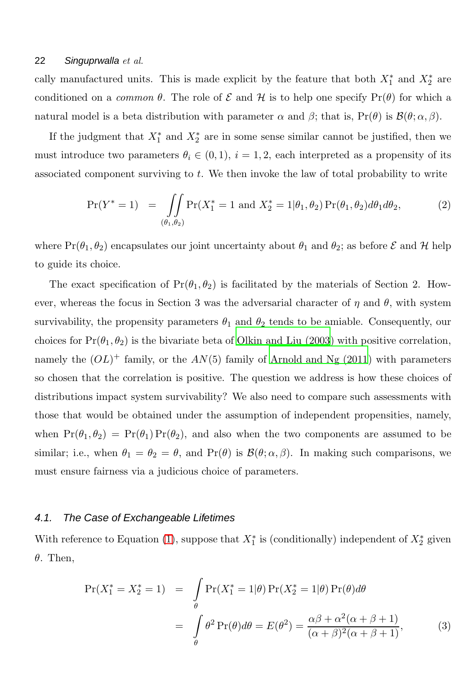cally manufactured units. This is made explicit by the feature that both  $X_1^*$  and  $X_2^*$  are conditioned on a *common*  $\theta$ . The role of  $\mathcal E$  and  $\mathcal H$  is to help one specify  $\Pr(\theta)$  for which a natural model is a beta distribution with parameter  $\alpha$  and  $\beta$ ; that is,  $Pr(\theta)$  is  $\mathcal{B}(\theta; \alpha, \beta)$ .

If the judgment that  $X_1^*$  and  $X_2^*$  are in some sense similar cannot be justified, then we must introduce two parameters  $\theta_i \in (0,1)$ ,  $i = 1,2$ , each interpreted as a propensity of its associated component surviving to t. We then invoke the law of total probability to write

<span id="page-21-0"></span>
$$
\Pr(Y^* = 1) = \iint_{(\theta_1, \theta_2)} \Pr(X_1^* = 1 \text{ and } X_2^* = 1 | \theta_1, \theta_2) \Pr(\theta_1, \theta_2) d\theta_1 d\theta_2, \tag{2}
$$

where  $Pr(\theta_1, \theta_2)$  encapsulates our joint uncertainty about  $\theta_1$  and  $\theta_2$ ; as before  $\mathcal E$  and  $\mathcal H$  help to guide its choice.

The exact specification of  $Pr(\theta_1, \theta_2)$  is facilitated by the materials of Section 2. However, whereas the focus in Section 3 was the adversarial character of  $\eta$  and  $\theta$ , with system survivability, the propensity parameters  $\theta_1$  and  $\theta_2$  tends to be amiable. Consequently, our choices for  $Pr(\theta_1, \theta_2)$  is the bivariate beta of [Olkin and Liu \(2003](#page-31-9)) with positive correlation, namely the  $(OL)^+$  family, or the  $AN(5)$  family of [Arnold and Ng \(2011](#page-29-2)) with parameters so chosen that the correlation is positive. The question we address is how these choices of distributions impact system survivability? We also need to compare such assessments with those that would be obtained under the assumption of independent propensities, namely, when  $Pr(\theta_1, \theta_2) = Pr(\theta_1) Pr(\theta_2)$ , and also when the two components are assumed to be similar; i.e., when  $\theta_1 = \theta_2 = \theta$ , and  $\Pr(\theta)$  is  $\mathcal{B}(\theta; \alpha, \beta)$ . In making such comparisons, we must ensure fairness via a judicious choice of parameters.

#### 4.1. The Case of Exchangeable Lifetimes

With reference to Equation [\(1\)](#page-20-0), suppose that  $X_1^*$  is (conditionally) independent of  $X_2^*$  given  $\theta$ . Then,

$$
\Pr(X_1^* = X_2^* = 1) = \int_{\theta} \Pr(X_1^* = 1 | \theta) \Pr(X_2^* = 1 | \theta) \Pr(\theta) d\theta
$$

$$
= \int_{\theta} \theta^2 \Pr(\theta) d\theta = E(\theta^2) = \frac{\alpha \beta + \alpha^2 (\alpha + \beta + 1)}{(\alpha + \beta)^2 (\alpha + \beta + 1)},
$$
(3)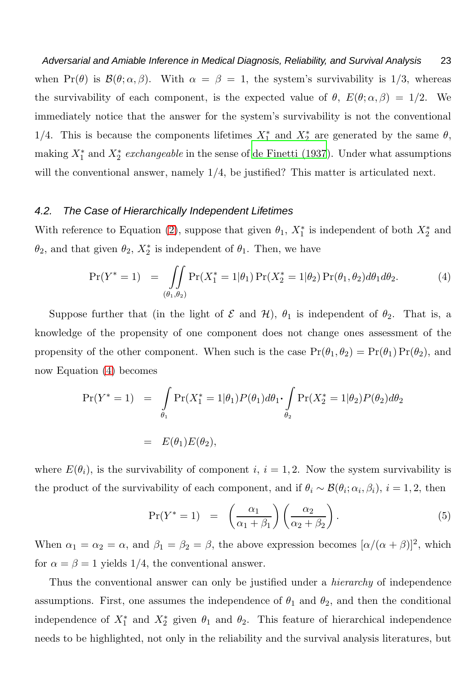Adversarial and Amiable Inference in Medical Diagnosis, Reliability, and Survival Analysis 23 when Pr( $\theta$ ) is  $\mathcal{B}(\theta; \alpha, \beta)$ . With  $\alpha = \beta = 1$ , the system's survivability is 1/3, whereas the survivability of each component, is the expected value of  $\theta$ ,  $E(\theta; \alpha, \beta) = 1/2$ . We immediately notice that the answer for the system's survivability is not the conventional 1/4. This is because the components lifetimes  $X_1^*$  and  $X_2^*$  are generated by the same  $\theta$ , making  $X_1^*$  and  $X_2^*$  *exchangeable* in the sense of [de Finetti \(1937\)](#page-30-0). Under what assumptions will the conventional answer, namely  $1/4$ , be justified? This matter is articulated next.

## 4.2. The Case of Hierarchically Independent Lifetimes

With reference to Equation [\(2\)](#page-21-0), suppose that given  $\theta_1$ ,  $X_1^*$  is independent of both  $X_2^*$  and  $\theta_2$ , and that given  $\theta_2$ ,  $X_2^*$  is independent of  $\theta_1$ . Then, we have

<span id="page-22-0"></span>
$$
\Pr(Y^* = 1) = \iint_{(\theta_1, \theta_2)} \Pr(X_1^* = 1 | \theta_1) \Pr(X_2^* = 1 | \theta_2) \Pr(\theta_1, \theta_2) d\theta_1 d\theta_2.
$$
 (4)

Suppose further that (in the light of  $\mathcal E$  and  $\mathcal H$ ),  $\theta_1$  is independent of  $\theta_2$ . That is, a knowledge of the propensity of one component does not change ones assessment of the propensity of the other component. When such is the case  $Pr(\theta_1, \theta_2) = Pr(\theta_1) Pr(\theta_2)$ , and now Equation [\(4\)](#page-22-0) becomes

$$
\Pr(Y^* = 1) = \int_{\theta_1} \Pr(X_1^* = 1 | \theta_1) P(\theta_1) d\theta_1 \cdot \int_{\theta_2} \Pr(X_2^* = 1 | \theta_2) P(\theta_2) d\theta_2
$$

$$
= E(\theta_1) E(\theta_2),
$$

where  $E(\theta_i)$ , is the survivability of component i,  $i = 1, 2$ . Now the system survivability is the product of the survivability of each component, and if  $\theta_i \sim \mathcal{B}(\theta_i; \alpha_i, \beta_i)$ ,  $i = 1, 2$ , then

<span id="page-22-1"></span>
$$
\Pr(Y^* = 1) = \left(\frac{\alpha_1}{\alpha_1 + \beta_1}\right) \left(\frac{\alpha_2}{\alpha_2 + \beta_2}\right). \tag{5}
$$

When  $\alpha_1 = \alpha_2 = \alpha$ , and  $\beta_1 = \beta_2 = \beta$ , the above expression becomes  $[\alpha/(\alpha + \beta)]^2$ , which for  $\alpha = \beta = 1$  yields 1/4, the conventional answer.

Thus the conventional answer can only be justified under a *hierarchy* of independence assumptions. First, one assumes the independence of  $\theta_1$  and  $\theta_2$ , and then the conditional independence of  $X_1^*$  and  $X_2^*$  given  $\theta_1$  and  $\theta_2$ . This feature of hierarchical independence needs to be highlighted, not only in the reliability and the survival analysis literatures, but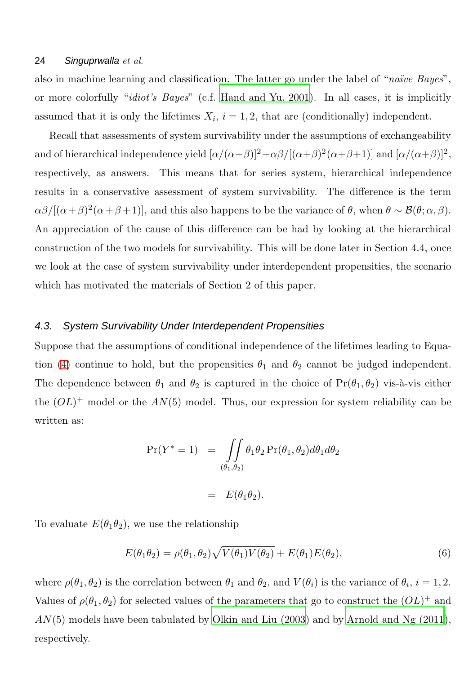also in machine learning and classification. The latter go under the label of "*na¨ıve Bayes*", or more colorfully "*idiot's Bayes*" (c.f. [Hand and Yu, 2001](#page-30-12)). In all cases, it is implicitly assumed that it is only the lifetimes  $X_i$ ,  $i = 1, 2$ , that are (conditionally) independent.

Recall that assessments of system survivability under the assumptions of exchangeability and of hierarchical independence yield  $[\alpha/(\alpha+\beta)]^2+\alpha\beta/[(\alpha+\beta)^2(\alpha+\beta+1)]$  and  $[\alpha/(\alpha+\beta)]^2$ , respectively, as answers. This means that for series system, hierarchical independence results in a conservative assessment of system survivability. The difference is the term  $\alpha\beta/[(\alpha+\beta)^2(\alpha+\beta+1)]$ , and this also happens to be the variance of  $\theta$ , when  $\theta \sim \mathcal{B}(\theta; \alpha, \beta)$ . An appreciation of the cause of this difference can be had by looking at the hierarchical construction of the two models for survivability. This will be done later in Section 4.4, once we look at the case of system survivability under interdependent propensities, the scenario which has motivated the materials of Section 2 of this paper.

#### 4.3. System Survivability Under Interdependent Propensities

Suppose that the assumptions of conditional independence of the lifetimes leading to Equa-tion [\(4\)](#page-22-0) continue to hold, but the propensities  $\theta_1$  and  $\theta_2$  cannot be judged independent. The dependence between  $\theta_1$  and  $\theta_2$  is captured in the choice of  $Pr(\theta_1, \theta_2)$  vis-à-vis either the  $(OL)^+$  model or the  $AN(5)$  model. Thus, our expression for system reliability can be written as:

$$
\Pr(Y^* = 1) = \iint_{(\theta_1, \theta_2)} \theta_1 \theta_2 \Pr(\theta_1, \theta_2) d\theta_1 d\theta_2
$$

$$
= E(\theta_1 \theta_2).
$$

To evaluate  $E(\theta_1\theta_2)$ , we use the relationship

$$
E(\theta_1 \theta_2) = \rho(\theta_1, \theta_2) \sqrt{V(\theta_1)V(\theta_2)} + E(\theta_1)E(\theta_2),
$$
\n(6)

where  $\rho(\theta_1, \theta_2)$  is the correlation between  $\theta_1$  and  $\theta_2$ , and  $V(\theta_i)$  is the variance of  $\theta_i$ ,  $i = 1, 2$ . Values of  $\rho(\theta_1, \theta_2)$  for selected values of the parameters that go to construct the  $(OL)^+$  and  $AN(5)$  models have been tabulated by [Olkin and Liu \(2003\)](#page-31-9) and by [Arnold and Ng \(2011](#page-29-2)), respectively.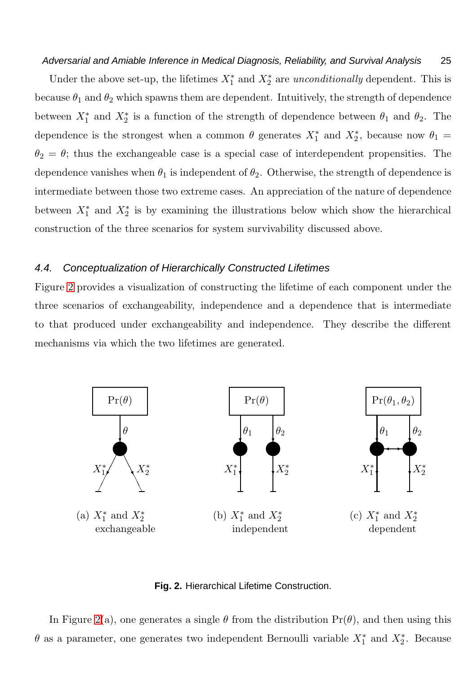#### Adversarial and Amiable Inference in Medical Diagnosis, Reliability, and Survival Analysis 25

Under the above set-up, the lifetimes  $X_1^*$  and  $X_2^*$  are *unconditionally* dependent. This is because  $\theta_1$  and  $\theta_2$  which spawns them are dependent. Intuitively, the strength of dependence between  $X_1^*$  and  $X_2^*$  is a function of the strength of dependence between  $\theta_1$  and  $\theta_2$ . The dependence is the strongest when a common  $\theta$  generates  $X_1^*$  and  $X_2^*$ , because now  $\theta_1 =$  $\theta_2 = \theta$ ; thus the exchangeable case is a special case of interdependent propensities. The dependence vanishes when  $\theta_1$  is independent of  $\theta_2$ . Otherwise, the strength of dependence is intermediate between those two extreme cases. An appreciation of the nature of dependence between  $X_1^*$  and  $X_2^*$  is by examining the illustrations below which show the hierarchical construction of the three scenarios for system survivability discussed above.

# 4.4. Conceptualization of Hierarchically Constructed Lifetimes

Figure [2](#page-24-0) provides a visualization of constructing the lifetime of each component under the three scenarios of exchangeability, independence and a dependence that is intermediate to that produced under exchangeability and independence. They describe the different mechanisms via which the two lifetimes are generated.



## <span id="page-24-0"></span>**Fig. 2.** Hierarchical Lifetime Construction.

In Figure [2\(](#page-24-0)a), one generates a single  $\theta$  from the distribution  $Pr(\theta)$ , and then using this  $\theta$  as a parameter, one generates two independent Bernoulli variable  $X_1^*$  and  $X_2^*$ . Because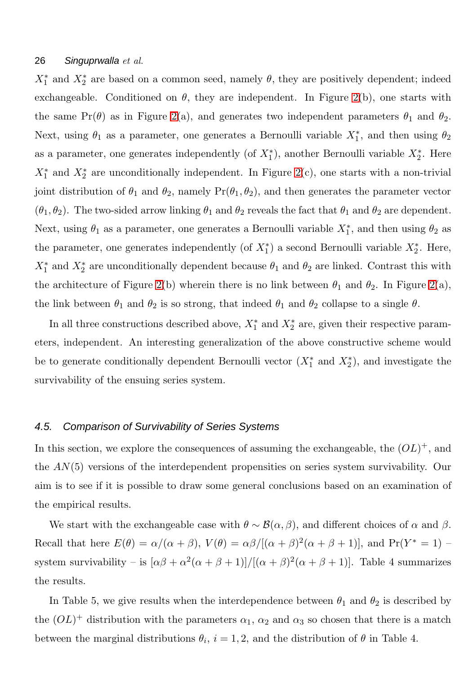$X_1^*$  and  $X_2^*$  are based on a common seed, namely  $\theta$ , they are positively dependent; indeed exchangeable. Conditioned on  $\theta$ , they are independent. In Figure [2\(](#page-24-0)b), one starts with the same  $Pr(\theta)$  as in Figure [2\(](#page-24-0)a), and generates two independent parameters  $\theta_1$  and  $\theta_2$ . Next, using  $\theta_1$  as a parameter, one generates a Bernoulli variable  $X_1^*$ , and then using  $\theta_2$ as a parameter, one generates independently (of  $X_1^*$ ), another Bernoulli variable  $X_2^*$ . Here  $X_1^*$  and  $X_2^*$  are unconditionally independent. In Figure [2\(](#page-24-0)c), one starts with a non-trivial joint distribution of  $\theta_1$  and  $\theta_2$ , namely  $Pr(\theta_1, \theta_2)$ , and then generates the parameter vector  $(\theta_1, \theta_2)$ . The two-sided arrow linking  $\theta_1$  and  $\theta_2$  reveals the fact that  $\theta_1$  and  $\theta_2$  are dependent. Next, using  $\theta_1$  as a parameter, one generates a Bernoulli variable  $X_1^*$ , and then using  $\theta_2$  as the parameter, one generates independently (of  $X_1^*$ ) a second Bernoulli variable  $X_2^*$ . Here,  $X_1^*$  and  $X_2^*$  are unconditionally dependent because  $\theta_1$  and  $\theta_2$  are linked. Contrast this with the architecture of Figure [2\(](#page-24-0)b) wherein there is no link between  $\theta_1$  and  $\theta_2$ . In Figure 2(a), the link between  $\theta_1$  and  $\theta_2$  is so strong, that indeed  $\theta_1$  and  $\theta_2$  collapse to a single  $\theta$ .

In all three constructions described above,  $X_1^*$  and  $X_2^*$  are, given their respective parameters, independent. An interesting generalization of the above constructive scheme would be to generate conditionally dependent Bernoulli vector  $(X_1^*$  and  $X_2^*)$ , and investigate the survivability of the ensuing series system.

#### 4.5. Comparison of Survivability of Series Systems

In this section, we explore the consequences of assuming the exchangeable, the  $(OL)^+$ , and the AN(5) versions of the interdependent propensities on series system survivability. Our aim is to see if it is possible to draw some general conclusions based on an examination of the empirical results.

We start with the exchangeable case with  $\theta \sim \mathcal{B}(\alpha, \beta)$ , and different choices of  $\alpha$  and  $\beta$ . Recall that here  $E(\theta) = \alpha/(\alpha + \beta)$ ,  $V(\theta) = \alpha\beta/[(\alpha + \beta)^2(\alpha + \beta + 1)]$ , and  $Pr(Y^* = 1)$ system survivability – is  $[\alpha\beta + \alpha^2(\alpha + \beta + 1)]/[(\alpha + \beta)^2(\alpha + \beta + 1)]$ . Table 4 summarizes the results.

In Table 5, we give results when the interdependence between  $\theta_1$  and  $\theta_2$  is described by the  $(OL)^+$  distribution with the parameters  $\alpha_1$ ,  $\alpha_2$  and  $\alpha_3$  so chosen that there is a match between the marginal distributions  $\theta_i$ ,  $i = 1, 2$ , and the distribution of  $\theta$  in Table 4.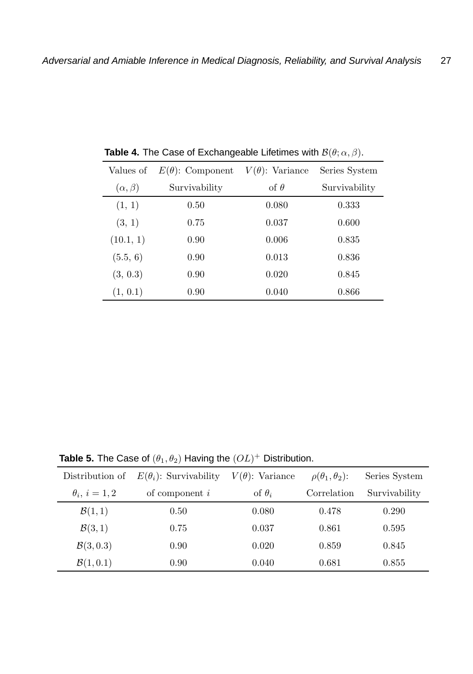| Values of         | $E(\theta)$ : Component | $V(\theta)$ : Variance | Series System |
|-------------------|-------------------------|------------------------|---------------|
| $(\alpha, \beta)$ | Survivability           | of $\theta$            | Survivability |
| (1, 1)            | 0.50                    | 0.080                  | 0.333         |
| (3, 1)            | 0.75                    | 0.037                  | 0.600         |
| (10.1, 1)         | 0.90                    | 0.006                  | 0.835         |
| (5.5, 6)          | 0.90                    | 0.013                  | 0.836         |
| (3, 0.3)          | 0.90                    | 0.020                  | 0.845         |
| (1, 0.1)          | 0.90                    | 0.040                  | 0.866         |

**Table 4.** The Case of Exchangeable Lifetimes with  $\mathcal{B}(\theta; \alpha, \beta)$ .

**Table 5.** The Case of  $(\theta_1, \theta_2)$  Having the  $(OL)^+$  Distribution.

| Distribution of      | $E(\theta_i)$ : Survivability | $V(\theta)$ : Variance | $\rho(\theta_1,\theta_2)$ : | Series System |
|----------------------|-------------------------------|------------------------|-----------------------------|---------------|
| $\theta_i, i=1,2$    | of component $i$              | of $\theta_i$          | Correlation                 | Survivability |
| $\mathcal{B}(1,1)$   | 0.50                          | 0.080                  | 0.478                       | 0.290         |
| $\mathcal{B}(3,1)$   | 0.75                          | 0.037                  | 0.861                       | 0.595         |
| $\mathcal{B}(3,0.3)$ | 0.90                          | 0.020                  | 0.859                       | 0.845         |
| $\mathcal{B}(1,0.1)$ | 0.90                          | 0.040                  | 0.681                       | 0.855         |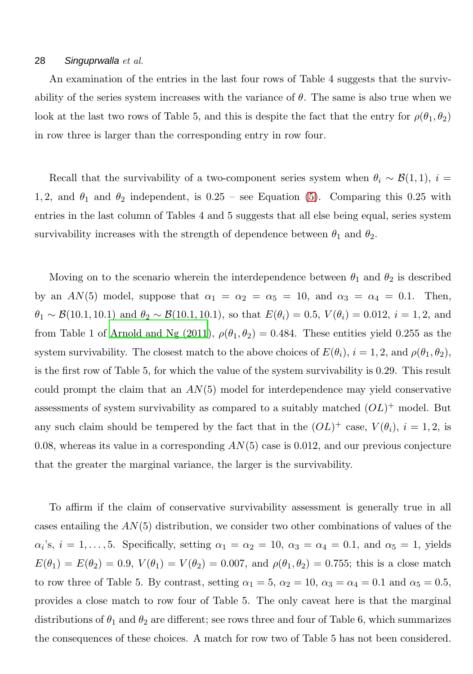An examination of the entries in the last four rows of Table 4 suggests that the survivability of the series system increases with the variance of  $\theta$ . The same is also true when we look at the last two rows of Table 5, and this is despite the fact that the entry for  $\rho(\theta_1, \theta_2)$ in row three is larger than the corresponding entry in row four.

Recall that the survivability of a two-component series system when  $\theta_i \sim \mathcal{B}(1,1)$ ,  $i =$ 1, 2, and  $\theta_1$  and  $\theta_2$  independent, is 0.25 – see Equation [\(5\)](#page-22-1). Comparing this 0.25 with entries in the last column of Tables 4 and 5 suggests that all else being equal, series system survivability increases with the strength of dependence between  $\theta_1$  and  $\theta_2$ .

Moving on to the scenario wherein the interdependence between  $\theta_1$  and  $\theta_2$  is described by an AN(5) model, suppose that  $\alpha_1 = \alpha_2 = \alpha_5 = 10$ , and  $\alpha_3 = \alpha_4 = 0.1$ . Then,  $\theta_1 \sim \mathcal{B}(10.1, 10.1)$  and  $\theta_2 \sim \mathcal{B}(10.1, 10.1)$ , so that  $E(\theta_i) = 0.5$ ,  $V(\theta_i) = 0.012$ ,  $i = 1, 2$ , and from Table 1 of [Arnold and Ng \(2011](#page-29-2)),  $\rho(\theta_1, \theta_2) = 0.484$ . These entities yield 0.255 as the system survivability. The closest match to the above choices of  $E(\theta_i)$ ,  $i = 1, 2$ , and  $\rho(\theta_1, \theta_2)$ , is the first row of Table 5, for which the value of the system survivability is 0.29. This result could prompt the claim that an  $AN(5)$  model for interdependence may yield conservative assessments of system survivability as compared to a suitably matched  $(OL)^+$  model. But any such claim should be tempered by the fact that in the  $(OL)^+$  case,  $V(\theta_i)$ ,  $i = 1, 2$ , is 0.08, whereas its value in a corresponding  $AN(5)$  case is 0.012, and our previous conjecture that the greater the marginal variance, the larger is the survivability.

To affirm if the claim of conservative survivability assessment is generally true in all cases entailing the  $AN(5)$  distribution, we consider two other combinations of values of the  $\alpha_i$ 's,  $i = 1, \ldots, 5$ . Specifically, setting  $\alpha_1 = \alpha_2 = 10$ ,  $\alpha_3 = \alpha_4 = 0.1$ , and  $\alpha_5 = 1$ , yields  $E(\theta_1) = E(\theta_2) = 0.9, V(\theta_1) = V(\theta_2) = 0.007, \text{ and } \rho(\theta_1, \theta_2) = 0.755$ ; this is a close match to row three of Table 5. By contrast, setting  $\alpha_1 = 5$ ,  $\alpha_2 = 10$ ,  $\alpha_3 = \alpha_4 = 0.1$  and  $\alpha_5 = 0.5$ , provides a close match to row four of Table 5. The only caveat here is that the marginal distributions of  $\theta_1$  and  $\theta_2$  are different; see rows three and four of Table 6, which summarizes the consequences of these choices. A match for row two of Table 5 has not been considered.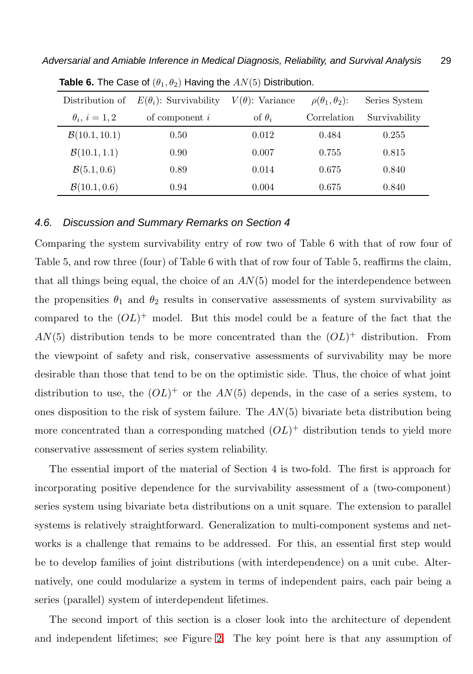| Distribution of          | $E(\theta_i)$ : Survivability | $V(\theta)$ : Variance | $\rho(\theta_1,\theta_2)$ : | Series System |
|--------------------------|-------------------------------|------------------------|-----------------------------|---------------|
| $\theta_i, i=1,2$        | of component $i$              | of $\theta_i$          | Correlation                 | Survivability |
| B(10.1, 10.1)            | 0.50                          | 0.012                  | 0.484                       | 0.255         |
| B(10.1, 1.1)             | 0.90                          | 0.007                  | 0.755                       | 0.815         |
| $\mathcal{B}(5.1, 0.6)$  | 0.89                          | 0.014                  | 0.675                       | 0.840         |
| $\mathcal{B}(10.1, 0.6)$ | 0.94                          | 0.004                  | 0.675                       | 0.840         |
|                          |                               |                        |                             |               |

**Table 6.** The Case of  $(\theta_1, \theta_2)$  Having the  $AN(5)$  Distribution.

#### 4.6. Discussion and Summary Remarks on Section 4

Comparing the system survivability entry of row two of Table 6 with that of row four of Table 5, and row three (four) of Table 6 with that of row four of Table 5, reaffirms the claim, that all things being equal, the choice of an  $AN(5)$  model for the interdependence between the propensities  $\theta_1$  and  $\theta_2$  results in conservative assessments of system survivability as compared to the  $(OL)^+$  model. But this model could be a feature of the fact that the  $AN(5)$  distribution tends to be more concentrated than the  $(OL)^+$  distribution. From the viewpoint of safety and risk, conservative assessments of survivability may be more desirable than those that tend to be on the optimistic side. Thus, the choice of what joint distribution to use, the  $(OL)^+$  or the  $AN(5)$  depends, in the case of a series system, to ones disposition to the risk of system failure. The  $AN(5)$  bivariate beta distribution being more concentrated than a corresponding matched  $(OL)^+$  distribution tends to yield more conservative assessment of series system reliability.

The essential import of the material of Section 4 is two-fold. The first is approach for incorporating positive dependence for the survivability assessment of a (two-component) series system using bivariate beta distributions on a unit square. The extension to parallel systems is relatively straightforward. Generalization to multi-component systems and networks is a challenge that remains to be addressed. For this, an essential first step would be to develop families of joint distributions (with interdependence) on a unit cube. Alternatively, one could modularize a system in terms of independent pairs, each pair being a series (parallel) system of interdependent lifetimes.

The second import of this section is a closer look into the architecture of dependent and independent lifetimes; see Figure [2.](#page-24-0) The key point here is that any assumption of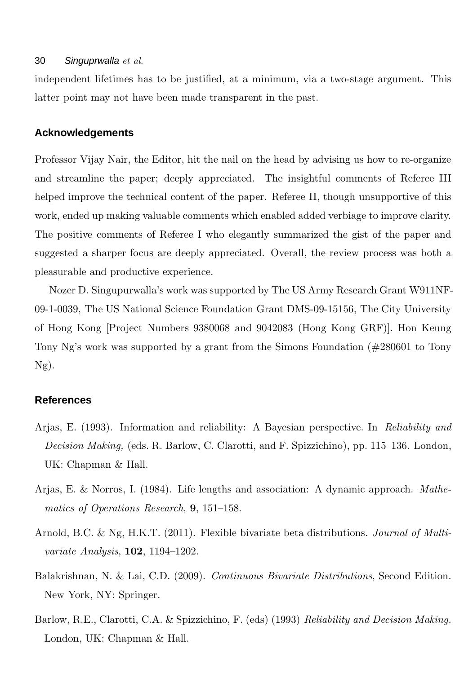independent lifetimes has to be justified, at a minimum, via a two-stage argument. This latter point may not have been made transparent in the past.

# **Acknowledgements**

Professor Vijay Nair, the Editor, hit the nail on the head by advising us how to re-organize and streamline the paper; deeply appreciated. The insightful comments of Referee III helped improve the technical content of the paper. Referee II, though unsupportive of this work, ended up making valuable comments which enabled added verbiage to improve clarity. The positive comments of Referee I who elegantly summarized the gist of the paper and suggested a sharper focus are deeply appreciated. Overall, the review process was both a pleasurable and productive experience.

Nozer D. Singupurwalla's work was supported by The US Army Research Grant W911NF-09-1-0039, The US National Science Foundation Grant DMS-09-15156, The City University of Hong Kong [Project Numbers 9380068 and 9042083 (Hong Kong GRF)]. Hon Keung Tony Ng's work was supported by a grant from the Simons Foundation (#280601 to Tony Ng).

# **References**

- <span id="page-29-0"></span>Arjas, E. (1993). Information and reliability: A Bayesian perspective. In *Reliability and Decision Making,* (eds. R. Barlow, C. Clarotti, and F. Spizzichino), pp. 115–136. London, UK: Chapman & Hall.
- <span id="page-29-4"></span>Arjas, E. & Norros, I. (1984). Life lengths and association: A dynamic approach. *Mathematics of Operations Research*, 9, 151–158.
- <span id="page-29-2"></span>Arnold, B.C. & Ng, H.K.T. (2011). Flexible bivariate beta distributions. *Journal of Multivariate Analysis*, 102, 1194–1202.
- <span id="page-29-3"></span>Balakrishnan, N. & Lai, C.D. (2009). *Continuous Bivariate Distributions*, Second Edition. New York, NY: Springer.
- <span id="page-29-1"></span>Barlow, R.E., Clarotti, C.A. & Spizzichino, F. (eds) (1993) *Reliability and Decision Making.* London, UK: Chapman & Hall.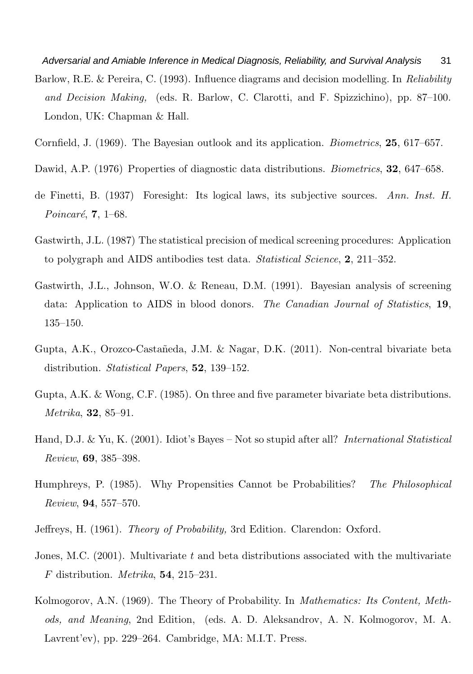<span id="page-30-5"></span>Adversarial and Amiable Inference in Medical Diagnosis, Reliability, and Survival Analysis 31 Barlow, R.E. & Pereira, C. (1993). Influence diagrams and decision modelling. In *Reliability and Decision Making,* (eds. R. Barlow, C. Clarotti, and F. Spizzichino), pp. 87–100. London, UK: Chapman & Hall.

<span id="page-30-4"></span>Cornfield, J. (1969). The Bayesian outlook and its application. *Biometrics*, 25, 617–657.

- <span id="page-30-10"></span>Dawid, A.P. (1976) Properties of diagnostic data distributions. *Biometrics*, 32, 647–658.
- <span id="page-30-0"></span>de Finetti, B. (1937) Foresight: Its logical laws, its subjective sources. *Ann. Inst. H. Poincaré*, **7**, 1–68.
- <span id="page-30-9"></span>Gastwirth, J.L. (1987) The statistical precision of medical screening procedures: Application to polygraph and AIDS antibodies test data. *Statistical Science*, 2, 211–352.
- <span id="page-30-11"></span>Gastwirth, J.L., Johnson, W.O. & Reneau, D.M. (1991). Bayesian analysis of screening data: Application to AIDS in blood donors. *The Canadian Journal of Statistics*, 19, 135–150.
- <span id="page-30-8"></span>Gupta, A.K., Orozco-Castañeda, J.M. & Nagar, D.K. (2011). Non-central bivariate beta distribution. *Statistical Papers*, 52, 139–152.
- <span id="page-30-7"></span>Gupta, A.K. & Wong, C.F. (1985). On three and five parameter bivariate beta distributions. *Metrika*, 32, 85–91.
- <span id="page-30-12"></span>Hand, D.J. & Yu, K. (2001). Idiot's Bayes – Not so stupid after all? *International Statistical Review*, 69, 385–398.
- <span id="page-30-2"></span>Humphreys, P. (1985). Why Propensities Cannot be Probabilities? *The Philosophical Review*, 94, 557–570.
- <span id="page-30-3"></span>Jeffreys, H. (1961). *Theory of Probability,* 3rd Edition. Clarendon: Oxford.
- <span id="page-30-6"></span>Jones, M.C. (2001). Multivariate t and beta distributions associated with the multivariate F distribution. *Metrika*, 54, 215–231.
- <span id="page-30-1"></span>Kolmogorov, A.N. (1969). The Theory of Probability. In *Mathematics: Its Content, Methods, and Meaning*, 2nd Edition, (eds. A. D. Aleksandrov, A. N. Kolmogorov, M. A. Lavrent'ev), pp. 229–264. Cambridge, MA: M.I.T. Press.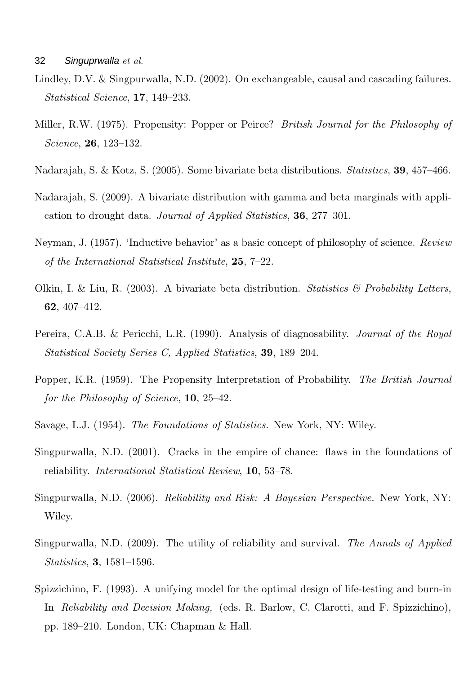- <span id="page-31-2"></span>Lindley, D.V. & Singpurwalla, N.D. (2002). On exchangeable, causal and cascading failures. *Statistical Science*, 17, 149–233.
- <span id="page-31-5"></span>Miller, R.W. (1975). Propensity: Popper or Peirce? *British Journal for the Philosophy of Science*, 26, 123–132.
- <span id="page-31-10"></span>Nadarajah, S. & Kotz, S. (2005). Some bivariate beta distributions. *Statistics*, 39, 457–466.
- <span id="page-31-11"></span>Nadarajah, S. (2009). A bivariate distribution with gamma and beta marginals with application to drought data. *Journal of Applied Statistics*, 36, 277–301.
- <span id="page-31-1"></span>Neyman, J. (1957). 'Inductive behavior' as a basic concept of philosophy of science. *Review of the International Statistical Institute*, 25, 7–22.
- <span id="page-31-9"></span>Olkin, I. & Liu, R. (2003). A bivariate beta distribution. *Statistics & Probability Letters*, 62, 407–412.
- <span id="page-31-12"></span>Pereira, C.A.B. & Pericchi, L.R. (1990). Analysis of diagnosability. *Journal of the Royal Statistical Society Series C, Applied Statistics*, 39, 189–204.
- <span id="page-31-0"></span>Popper, K.R. (1959). The Propensity Interpretation of Probability. *The British Journal for the Philosophy of Science*, 10, 25–42.
- <span id="page-31-6"></span>Savage, L.J. (1954). *The Foundations of Statistics.* New York, NY: Wiley.
- <span id="page-31-7"></span>Singpurwalla, N.D. (2001). Cracks in the empire of chance: flaws in the foundations of reliability. *International Statistical Review*, 10, 53–78.
- <span id="page-31-4"></span>Singpurwalla, N.D. (2006). *Reliability and Risk: A Bayesian Perspective.* New York, NY: Wiley.
- <span id="page-31-3"></span>Singpurwalla, N.D. (2009). The utility of reliability and survival. *The Annals of Applied Statistics*, 3, 1581–1596.
- <span id="page-31-8"></span>Spizzichino, F. (1993). A unifying model for the optimal design of life-testing and burn-in In *Reliability and Decision Making,* (eds. R. Barlow, C. Clarotti, and F. Spizzichino), pp. 189–210. London, UK: Chapman & Hall.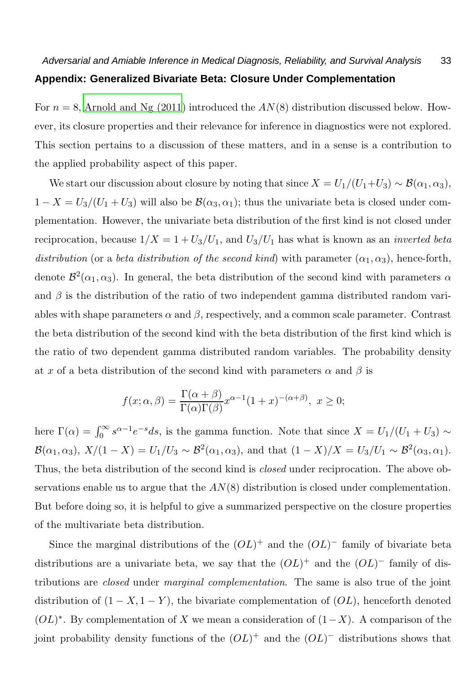For  $n = 8$ , [Arnold and Ng \(2011\)](#page-29-2) introduced the  $AN(8)$  distribution discussed below. However, its closure properties and their relevance for inference in diagnostics were not explored. This section pertains to a discussion of these matters, and in a sense is a contribution to the applied probability aspect of this paper.

We start our discussion about closure by noting that since  $X = U_1/(U_1+U_3) \sim \mathcal{B}(\alpha_1, \alpha_3)$ ,  $1 - X = U_3/(U_1 + U_3)$  will also be  $\mathcal{B}(\alpha_3, \alpha_1)$ ; thus the univariate beta is closed under complementation. However, the univariate beta distribution of the first kind is not closed under reciprocation, because  $1/X = 1 + U_3/U_1$ , and  $U_3/U_1$  has what is known as an *inverted beta distribution* (or a *beta distribution of the second kind*) with parameter  $(\alpha_1, \alpha_3)$ , hence-forth, denote  $\mathcal{B}^2(\alpha_1, \alpha_3)$ . In general, the beta distribution of the second kind with parameters  $\alpha$ and  $\beta$  is the distribution of the ratio of two independent gamma distributed random variables with shape parameters  $\alpha$  and  $\beta$ , respectively, and a common scale parameter. Contrast the beta distribution of the second kind with the beta distribution of the first kind which is the ratio of two dependent gamma distributed random variables. The probability density at x of a beta distribution of the second kind with parameters  $\alpha$  and  $\beta$  is

$$
f(x; \alpha, \beta) = \frac{\Gamma(\alpha + \beta)}{\Gamma(\alpha)\Gamma(\beta)} x^{\alpha - 1} (1 + x)^{-(\alpha + \beta)}, \ x \ge 0;
$$

here  $\Gamma(\alpha) = \int_0^\infty s^{\alpha-1} e^{-s} ds$ , is the gamma function. Note that since  $X = U_1/(U_1 + U_3) \sim$  $\mathcal{B}(\alpha_1, \alpha_3), X/(1-X) = U_1/U_3 \sim \mathcal{B}^2(\alpha_1, \alpha_3), \text{ and that } (1-X)/X = U_3/U_1 \sim \mathcal{B}^2(\alpha_3, \alpha_1).$ Thus, the beta distribution of the second kind is *closed* under reciprocation. The above observations enable us to argue that the  $AN(8)$  distribution is closed under complementation. But before doing so, it is helpful to give a summarized perspective on the closure properties of the multivariate beta distribution.

Since the marginal distributions of the  $(OL)^+$  and the  $(OL)^-$  family of bivariate beta distributions are a univariate beta, we say that the  $(OL)^+$  and the  $(OL)^-$  family of distributions are *closed* under *marginal complementation*. The same is also true of the joint distribution of  $(1 - X, 1 - Y)$ , the bivariate complementation of  $(OL)$ , henceforth denoted  $(OL)^*$ . By complementation of X we mean a consideration of  $(1-X)$ . A comparison of the joint probability density functions of the  $(OL)^+$  and the  $(OL)^-$  distributions shows that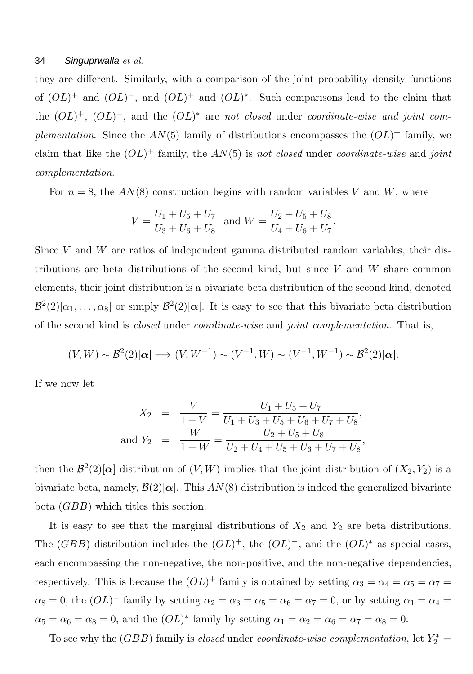they are different. Similarly, with a comparison of the joint probability density functions of  $(OL)^+$  and  $(OL)^-$ , and  $(OL)^+$  and  $(OL)^*$ . Such comparisons lead to the claim that the  $(OL)^+$ ,  $(OL)^-$ , and the  $(OL)^*$  are *not closed* under *coordinate-wise and joint complementation*. Since the  $AN(5)$  family of distributions encompasses the  $(OL)^+$  family, we claim that like the (OL) <sup>+</sup> family, the AN(5) is *not closed* under *coordinate-wise* and *joint complementation*.

For  $n = 8$ , the  $AN(8)$  construction begins with random variables V and W, where

$$
V = \frac{U_1 + U_5 + U_7}{U_3 + U_6 + U_8}
$$
 and  $W = \frac{U_2 + U_5 + U_8}{U_4 + U_6 + U_7}$ .

Since V and W are ratios of independent gamma distributed random variables, their distributions are beta distributions of the second kind, but since  $V$  and  $W$  share common elements, their joint distribution is a bivariate beta distribution of the second kind, denoted  $\mathcal{B}^2(2)[\alpha_1,\ldots,\alpha_8]$  or simply  $\mathcal{B}^2(2)[\alpha]$ . It is easy to see that this bivariate beta distribution of the second kind is *closed* under *coordinate-wise* and *joint complementation*. That is,

$$
(V,W) \sim \mathcal{B}^2(2)[\boldsymbol{\alpha}] \Longrightarrow (V,W^{-1}) \sim (V^{-1},W) \sim (V^{-1},W^{-1}) \sim \mathcal{B}^2(2)[\boldsymbol{\alpha}].
$$

If we now let

$$
X_2 = \frac{V}{1+V} = \frac{U_1 + U_5 + U_7}{U_1 + U_3 + U_5 + U_6 + U_7 + U_8},
$$
  
and  $Y_2 = \frac{W}{1+W} = \frac{U_2 + U_5 + U_8}{U_2 + U_4 + U_5 + U_6 + U_7 + U_8},$ 

then the  $\mathcal{B}^2(2)[\alpha]$  distribution of  $(V, W)$  implies that the joint distribution of  $(X_2, Y_2)$  is a bivariate beta, namely,  $\mathcal{B}(2)[\alpha]$ . This  $AN(8)$  distribution is indeed the generalized bivariate beta (GBB) which titles this section.

It is easy to see that the marginal distributions of  $X_2$  and  $Y_2$  are beta distributions. The  $(GBB)$  distribution includes the  $(OL)^+$ , the  $(OL)^-$ , and the  $(OL)^*$  as special cases, each encompassing the non-negative, the non-positive, and the non-negative dependencies, respectively. This is because the  $(OL)^+$  family is obtained by setting  $\alpha_3 = \alpha_4 = \alpha_5 = \alpha_7 =$  $\alpha_8 = 0$ , the  $(OL)^-$  family by setting  $\alpha_2 = \alpha_3 = \alpha_5 = \alpha_6 = \alpha_7 = 0$ , or by setting  $\alpha_1 = \alpha_4 =$  $\alpha_5 = \alpha_6 = \alpha_8 = 0$ , and the  $(OL)^*$  family by setting  $\alpha_1 = \alpha_2 = \alpha_6 = \alpha_7 = \alpha_8 = 0$ .

To see why the (*GBB*) family is *closed* under *coordinate-wise complementation*, let  $Y_2^*$  =